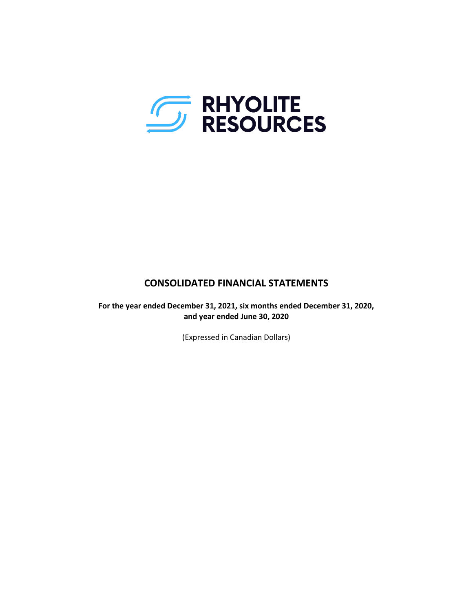

# **CONSOLIDATED FINANCIAL STATEMENTS**

**For the year ended December 31, 2021, six months ended December 31, 2020, and year ended June 30, 2020**

(Expressed in Canadian Dollars)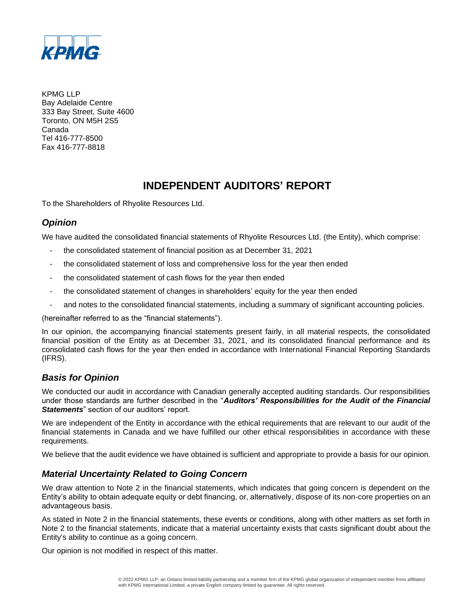

KPMG LLP Bay Adelaide Centre 333 Bay Street, Suite 4600 Toronto, ON M5H 2S5 Canada Tel 416-777-8500 Fax 416-777-8818

# **INDEPENDENT AUDITORS' REPORT**

To the Shareholders of Rhyolite Resources Ltd.

# *Opinion*

We have audited the consolidated financial statements of Rhyolite Resources Ltd. (the Entity), which comprise:

- the consolidated statement of financial position as at December 31, 2021
- the consolidated statement of loss and comprehensive loss for the year then ended
- the consolidated statement of cash flows for the year then ended
- the consolidated statement of changes in shareholders' equity for the year then ended
- and notes to the consolidated financial statements, including a summary of significant accounting policies.

(hereinafter referred to as the "financial statements").

In our opinion, the accompanying financial statements present fairly, in all material respects, the consolidated financial position of the Entity as at December 31, 2021, and its consolidated financial performance and its consolidated cash flows for the year then ended in accordance with International Financial Reporting Standards (IFRS).

# *Basis for Opinion*

We conducted our audit in accordance with Canadian generally accepted auditing standards. Our responsibilities under those standards are further described in the "*Auditors' Responsibilities for the Audit of the Financial Statements*" section of our auditors' report.

We are independent of the Entity in accordance with the ethical requirements that are relevant to our audit of the financial statements in Canada and we have fulfilled our other ethical responsibilities in accordance with these requirements.

We believe that the audit evidence we have obtained is sufficient and appropriate to provide a basis for our opinion.

# *Material Uncertainty Related to Going Concern*

We draw attention to Note 2 in the financial statements, which indicates that going concern is dependent on the Entity's ability to obtain adequate equity or debt financing, or, alternatively, dispose of its non-core properties on an advantageous basis.

As stated in Note 2 in the financial statements, these events or conditions, along with other matters as set forth in Note 2 to the financial statements, indicate that a material uncertainty exists that casts significant doubt about the Entity's ability to continue as a going concern.

Our opinion is not modified in respect of this matter.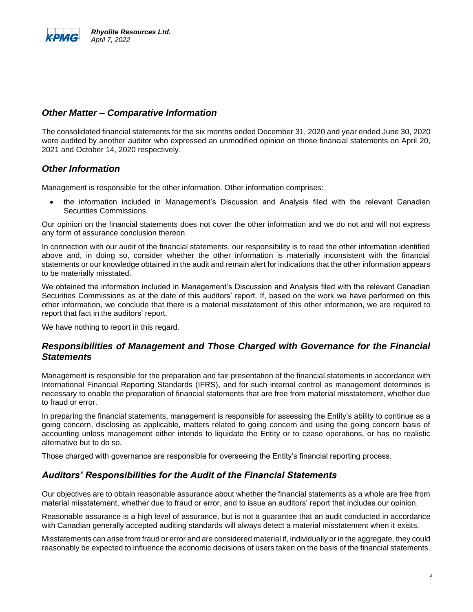

## *Other Matter – Comparative Information*

The consolidated financial statements for the six months ended December 31, 2020 and year ended June 30, 2020 were audited by another auditor who expressed an unmodified opinion on those financial statements on April 20, 2021 and October 14, 2020 respectively.

## *Other Information*

Management is responsible for the other information. Other information comprises:

• the information included in Management's Discussion and Analysis filed with the relevant Canadian Securities Commissions.

Our opinion on the financial statements does not cover the other information and we do not and will not express any form of assurance conclusion thereon.

In connection with our audit of the financial statements, our responsibility is to read the other information identified above and, in doing so, consider whether the other information is materially inconsistent with the financial statements or our knowledge obtained in the audit and remain alert for indications that the other information appears to be materially misstated.

We obtained the information included in Management's Discussion and Analysis filed with the relevant Canadian Securities Commissions as at the date of this auditors' report. If, based on the work we have performed on this other information, we conclude that there is a material misstatement of this other information, we are required to report that fact in the auditors' report.

We have nothing to report in this regard.

## *Responsibilities of Management and Those Charged with Governance for the Financial Statements*

Management is responsible for the preparation and fair presentation of the financial statements in accordance with International Financial Reporting Standards (IFRS), and for such internal control as management determines is necessary to enable the preparation of financial statements that are free from material misstatement, whether due to fraud or error.

In preparing the financial statements, management is responsible for assessing the Entity's ability to continue as a going concern, disclosing as applicable, matters related to going concern and using the going concern basis of accounting unless management either intends to liquidate the Entity or to cease operations, or has no realistic alternative but to do so.

Those charged with governance are responsible for overseeing the Entity's financial reporting process.

## *Auditors' Responsibilities for the Audit of the Financial Statements*

Our objectives are to obtain reasonable assurance about whether the financial statements as a whole are free from material misstatement, whether due to fraud or error, and to issue an auditors' report that includes our opinion.

Reasonable assurance is a high level of assurance, but is not a guarantee that an audit conducted in accordance with Canadian generally accepted auditing standards will always detect a material misstatement when it exists.

Misstatements can arise from fraud or error and are considered material if, individually or in the aggregate, they could reasonably be expected to influence the economic decisions of users taken on the basis of the financial statements.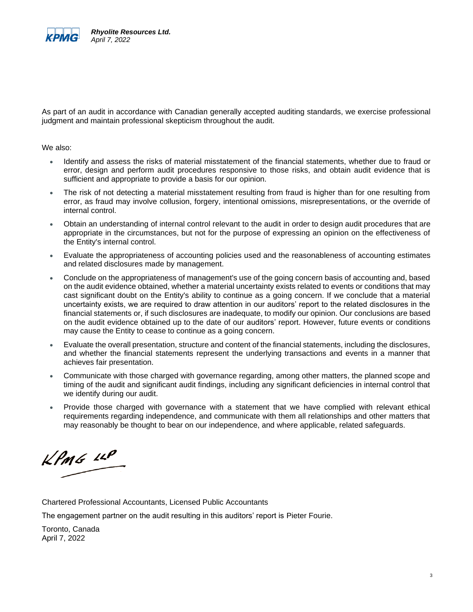

As part of an audit in accordance with Canadian generally accepted auditing standards, we exercise professional judgment and maintain professional skepticism throughout the audit.

We also:

- Identify and assess the risks of material misstatement of the financial statements, whether due to fraud or error, design and perform audit procedures responsive to those risks, and obtain audit evidence that is sufficient and appropriate to provide a basis for our opinion.
- The risk of not detecting a material misstatement resulting from fraud is higher than for one resulting from error, as fraud may involve collusion, forgery, intentional omissions, misrepresentations, or the override of internal control.
- Obtain an understanding of internal control relevant to the audit in order to design audit procedures that are appropriate in the circumstances, but not for the purpose of expressing an opinion on the effectiveness of the Entity's internal control.
- Evaluate the appropriateness of accounting policies used and the reasonableness of accounting estimates and related disclosures made by management.
- Conclude on the appropriateness of management's use of the going concern basis of accounting and, based on the audit evidence obtained, whether a material uncertainty exists related to events or conditions that may cast significant doubt on the Entity's ability to continue as a going concern. If we conclude that a material uncertainty exists, we are required to draw attention in our auditors' report to the related disclosures in the financial statements or, if such disclosures are inadequate, to modify our opinion. Our conclusions are based on the audit evidence obtained up to the date of our auditors' report. However, future events or conditions may cause the Entity to cease to continue as a going concern.
- Evaluate the overall presentation, structure and content of the financial statements, including the disclosures, and whether the financial statements represent the underlying transactions and events in a manner that achieves fair presentation.
- Communicate with those charged with governance regarding, among other matters, the planned scope and timing of the audit and significant audit findings, including any significant deficiencies in internal control that we identify during our audit.
- Provide those charged with governance with a statement that we have complied with relevant ethical requirements regarding independence, and communicate with them all relationships and other matters that may reasonably be thought to bear on our independence, and where applicable, related safeguards.

 $k$ *PmG*  $\mu$ 

Chartered Professional Accountants, Licensed Public Accountants

The engagement partner on the audit resulting in this auditors' report is Pieter Fourie.

Toronto, Canada April 7, 2022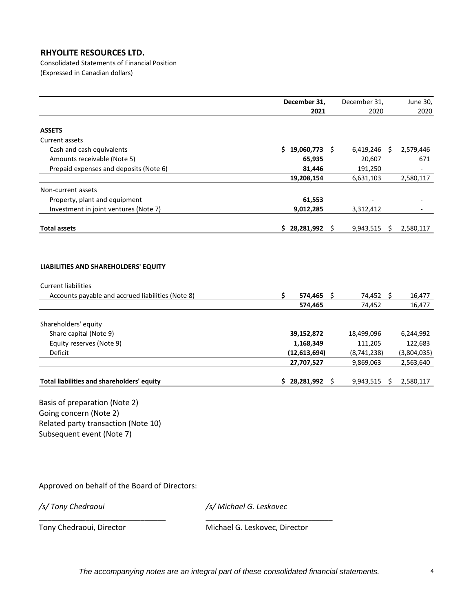Consolidated Statements of Financial Position (Expressed in Canadian dollars)

|                                                                    | December 31, |                |    | December 31, |      | June 30,    |
|--------------------------------------------------------------------|--------------|----------------|----|--------------|------|-------------|
|                                                                    |              | 2021           |    | 2020         |      | 2020        |
| <b>ASSETS</b>                                                      |              |                |    |              |      |             |
| Current assets                                                     |              |                |    |              |      |             |
| Cash and cash equivalents                                          |              | \$19,060,773   |    | 6,419,246    | - \$ | 2,579,446   |
| Amounts receivable (Note 5)                                        |              | 65,935         |    | 20,607       |      | 671         |
| Prepaid expenses and deposits (Note 6)                             |              | 81,446         |    | 191,250      |      |             |
|                                                                    |              | 19,208,154     |    | 6,631,103    |      | 2,580,117   |
| Non-current assets                                                 |              |                |    |              |      |             |
| Property, plant and equipment                                      |              | 61,553         |    |              |      |             |
| Investment in joint ventures (Note 7)                              |              | 9,012,285      |    | 3,312,412    |      |             |
|                                                                    |              |                |    |              |      |             |
| <b>Total assets</b>                                                |              | \$28,281,992\$ |    | 9,943,515    | \$   | 2,580,117   |
| LIABILITIES AND SHAREHOLDERS' EQUITY<br><b>Current liabilities</b> |              |                |    |              |      |             |
| Accounts payable and accrued liabilities (Note 8)                  | \$           | $574,465$ \$   |    | 74,452 \$    |      | 16,477      |
|                                                                    |              | 574,465        |    | 74,452       |      | 16,477      |
| Shareholders' equity                                               |              |                |    |              |      |             |
| Share capital (Note 9)                                             |              | 39,152,872     |    | 18,499,096   |      | 6,244,992   |
| Equity reserves (Note 9)                                           |              | 1,168,349      |    | 111,205      |      | 122,683     |
| Deficit                                                            |              | (12, 613, 694) |    | (8,741,238)  |      | (3,804,035) |
|                                                                    |              | 27,707,527     |    | 9,869,063    |      | 2,563,640   |
| Total liabilities and shareholders' equity                         |              | \$28,281,992   | S. | 9,943,515    | Ŝ.   | 2,580,117   |
| Basis of preparation (Note 2)                                      |              |                |    |              |      |             |
| د Going concern (Note 2)                                           |              |                |    |              |      |             |

Going concern (Note 2) Related party transaction (Note 10) Subsequent event (Note 7)

Approved on behalf of the Board of Directors:

*/s/ Tony Chedraoui /s/ Michael G. Leskovec*

\_\_\_\_\_\_\_\_\_\_\_\_\_\_\_\_\_\_\_\_\_\_\_\_\_\_\_\_\_\_ \_\_\_\_\_\_\_\_\_\_\_\_\_\_\_\_\_\_\_\_\_\_\_\_\_\_\_\_\_\_ Tony Chedraoui, Director Michael G. Leskovec, Director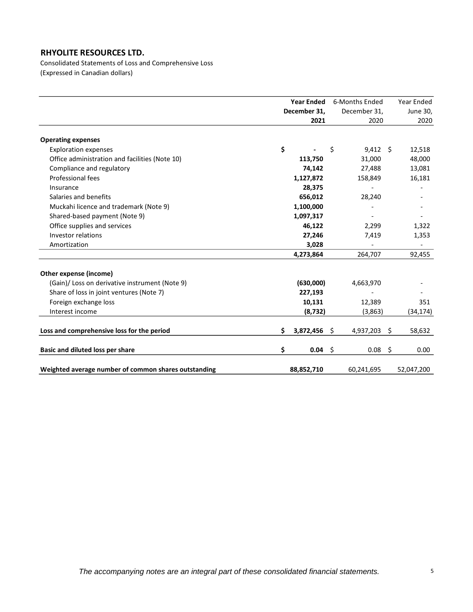Consolidated Statements of Loss and Comprehensive Loss (Expressed in Canadian dollars)

|                                                      | <b>Year Ended</b> |              | 6-Months Ended        |      | Year Ended |
|------------------------------------------------------|-------------------|--------------|-----------------------|------|------------|
|                                                      |                   | December 31, | December 31,          |      | June 30,   |
|                                                      |                   | 2021         | 2020                  |      | 2020       |
| <b>Operating expenses</b>                            |                   |              |                       |      |            |
| <b>Exploration expenses</b>                          | \$                |              | \$<br>$9,412 \quad $$ |      | 12,518     |
| Office administration and facilities (Note 10)       |                   | 113,750      | 31,000                |      | 48,000     |
| Compliance and regulatory                            |                   | 74,142       | 27,488                |      | 13,081     |
| Professional fees                                    |                   | 1,127,872    | 158,849               |      | 16,181     |
| Insurance                                            |                   | 28,375       |                       |      |            |
| Salaries and benefits                                |                   | 656,012      | 28,240                |      |            |
| Muckahi licence and trademark (Note 9)               |                   | 1,100,000    |                       |      |            |
| Shared-based payment (Note 9)                        |                   | 1,097,317    |                       |      |            |
| Office supplies and services                         |                   | 46,122       | 2,299                 |      | 1,322      |
| Investor relations                                   |                   | 27,246       | 7,419                 |      | 1,353      |
| Amortization                                         |                   | 3,028        |                       |      |            |
|                                                      |                   | 4,273,864    | 264,707               |      | 92,455     |
| Other expense (income)                               |                   |              |                       |      |            |
| (Gain)/ Loss on derivative instrument (Note 9)       |                   | (630,000)    | 4,663,970             |      |            |
| Share of loss in joint ventures (Note 7)             |                   | 227,193      |                       |      |            |
| Foreign exchange loss                                |                   | 10,131       | 12,389                |      | 351        |
| Interest income                                      |                   | (8, 732)     | (3,863)               |      | (34, 174)  |
| Loss and comprehensive loss for the period           | \$                | 3,872,456    | \$<br>4,937,203       | \$   | 58,632     |
| Basic and diluted loss per share                     | \$                | $0.04$ \$    | 0.08                  | - \$ | 0.00       |
| Weighted average number of common shares outstanding |                   | 88,852,710   | 60,241,695            |      | 52,047,200 |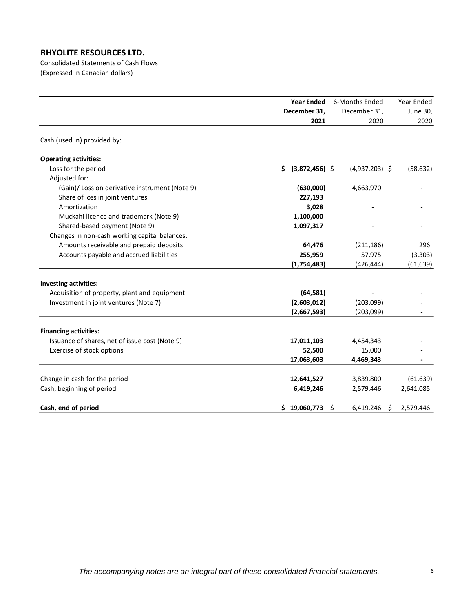Consolidated Statements of Cash Flows (Expressed in Canadian dollars)

|                                                | <b>Year Ended</b>      | 6-Months Ended       | Year Ended               |
|------------------------------------------------|------------------------|----------------------|--------------------------|
|                                                | December 31,           | December 31,         | June 30,                 |
|                                                | 2021                   | 2020                 | 2020                     |
| Cash (used in) provided by:                    |                        |                      |                          |
| <b>Operating activities:</b>                   |                        |                      |                          |
| Loss for the period                            | $(3,872,456)$ \$<br>S. | $(4,937,203)$ \$     | (58, 632)                |
| Adjusted for:                                  |                        |                      |                          |
| (Gain)/ Loss on derivative instrument (Note 9) | (630,000)              | 4,663,970            |                          |
| Share of loss in joint ventures                | 227,193                |                      |                          |
| Amortization                                   | 3,028                  |                      |                          |
| Muckahi licence and trademark (Note 9)         | 1,100,000              |                      |                          |
| Shared-based payment (Note 9)                  | 1,097,317              |                      |                          |
| Changes in non-cash working capital balances:  |                        |                      |                          |
| Amounts receivable and prepaid deposits        | 64,476                 | (211, 186)           | 296                      |
| Accounts payable and accrued liabilities       | 255,959                | 57,975               | (3, 303)                 |
|                                                | (1,754,483)            | (426, 444)           | (61, 639)                |
| <b>Investing activities:</b>                   |                        |                      |                          |
| Acquisition of property, plant and equipment   | (64, 581)              |                      |                          |
| Investment in joint ventures (Note 7)          | (2,603,012)            | (203,099)            |                          |
|                                                | (2,667,593)            | (203,099)            |                          |
| <b>Financing activities:</b>                   |                        |                      |                          |
| Issuance of shares, net of issue cost (Note 9) | 17,011,103             | 4,454,343            |                          |
| Exercise of stock options                      | 52,500                 | 15,000               |                          |
|                                                | 17,063,603             | 4,469,343            | $\overline{\phantom{a}}$ |
|                                                |                        |                      |                          |
| Change in cash for the period                  | 12,641,527             | 3,839,800            | (61, 639)                |
| Cash, beginning of period                      | 6,419,246              | 2,579,446            | 2,641,085                |
| Cash, end of period                            | \$19,060,773           | Ŝ.<br>$6,419,246$ \$ | 2,579,446                |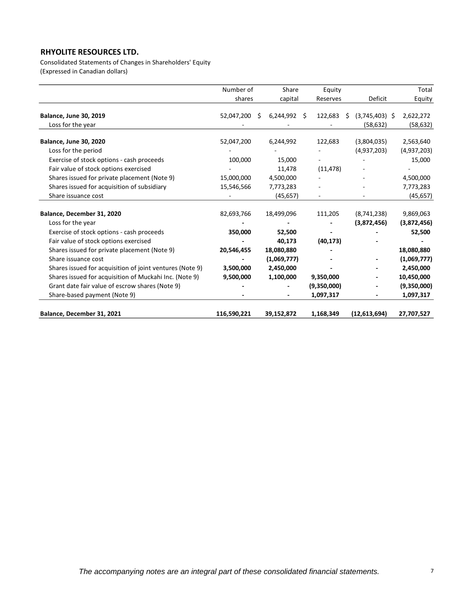Consolidated Statements of Changes in Shareholders' Equity (Expressed in Canadian dollars)

|                                                          | Number of   | Share                | Equity      |                        | Total       |
|----------------------------------------------------------|-------------|----------------------|-------------|------------------------|-------------|
|                                                          | shares      | capital              | Reserves    | Deficit                | Equity      |
| <b>Balance, June 30, 2019</b>                            | 52,047,200  | $6,244,992$ \$<br>Ŝ. | 122,683     | $(3,745,403)$ \$<br>\$ | 2,622,272   |
| Loss for the year                                        |             |                      |             | (58, 632)              | (58, 632)   |
| <b>Balance, June 30, 2020</b>                            | 52,047,200  | 6,244,992            | 122,683     | (3,804,035)            | 2,563,640   |
| Loss for the period                                      |             |                      |             | (4,937,203)            | (4,937,203) |
| Exercise of stock options - cash proceeds                | 100,000     | 15,000               |             |                        | 15,000      |
| Fair value of stock options exercised                    |             | 11,478               | (11, 478)   |                        |             |
| Shares issued for private placement (Note 9)             | 15,000,000  | 4,500,000            |             |                        | 4,500,000   |
| Shares issued for acquisition of subsidiary              | 15,546,566  | 7,773,283            |             |                        | 7,773,283   |
| Share issuance cost                                      |             | (45, 657)            |             |                        | (45, 657)   |
| Balance, December 31, 2020                               | 82,693,766  | 18,499,096           | 111,205     | (8,741,238)            | 9,869,063   |
| Loss for the year                                        |             |                      |             | (3,872,456)            | (3,872,456) |
| Exercise of stock options - cash proceeds                | 350,000     | 52,500               |             |                        | 52,500      |
| Fair value of stock options exercised                    |             | 40,173               | (40, 173)   |                        |             |
| Shares issued for private placement (Note 9)             | 20,546,455  | 18,080,880           |             |                        | 18,080,880  |
| Share issuance cost                                      |             | (1,069,777)          |             |                        | (1,069,777) |
| Shares issued for acquisition of joint ventures (Note 9) | 3,500,000   | 2,450,000            |             |                        | 2,450,000   |
| Shares issued for acquisition of Muckahi Inc. (Note 9)   | 9,500,000   | 1,100,000            | 9,350,000   |                        | 10,450,000  |
| Grant date fair value of escrow shares (Note 9)          |             |                      | (9,350,000) |                        | (9,350,000) |
| Share-based payment (Note 9)                             |             |                      | 1,097,317   |                        | 1,097,317   |
| Balance, December 31, 2021                               | 116,590,221 | 39,152,872           | 1,168,349   | (12,613,694)           | 27,707,527  |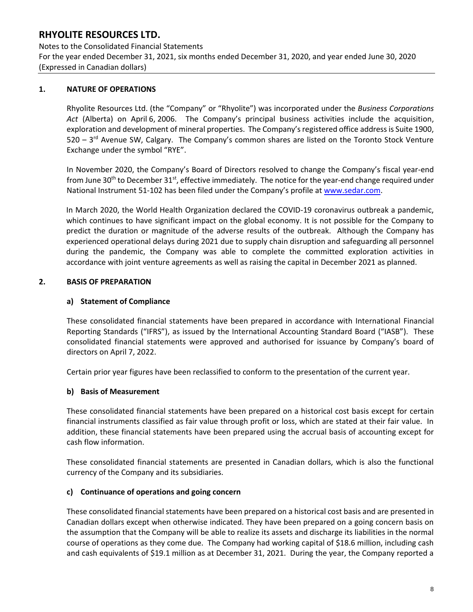Notes to the Consolidated Financial Statements For the year ended December 31, 2021, six months ended December 31, 2020, and year ended June 30, 2020 (Expressed in Canadian dollars)

### **1. NATURE OF OPERATIONS**

Rhyolite Resources Ltd. (the "Company" or "Rhyolite") was incorporated under the *Business Corporations Act* (Alberta) on April 6, 2006. The Company's principal business activities include the acquisition, exploration and development of mineral properties. The Company's registered office address is Suite 1900, 520 – 3<sup>rd</sup> Avenue SW, Calgary. The Company's common shares are listed on the Toronto Stock Venture Exchange under the symbol "RYE".

In November 2020, the Company's Board of Directors resolved to change the Company's fiscal year-end from June 30<sup>th</sup> to December 31<sup>st</sup>, effective immediately. The notice for the year-end change required under National Instrument 51-102 has been filed under the Company's profile at [www.sedar.com.](http://www.sedar.com/)

In March 2020, the World Health Organization declared the COVID-19 coronavirus outbreak a pandemic, which continues to have significant impact on the global economy. It is not possible for the Company to predict the duration or magnitude of the adverse results of the outbreak. Although the Company has experienced operational delays during 2021 due to supply chain disruption and safeguarding all personnel during the pandemic, the Company was able to complete the committed exploration activities in accordance with joint venture agreements as well as raising the capital in December 2021 as planned.

### **2. BASIS OF PREPARATION**

### **a) Statement of Compliance**

These consolidated financial statements have been prepared in accordance with International Financial Reporting Standards ("IFRS"), as issued by the International Accounting Standard Board ("IASB"). These consolidated financial statements were approved and authorised for issuance by Company's board of directors on April 7, 2022.

Certain prior year figures have been reclassified to conform to the presentation of the current year.

#### **b) Basis of Measurement**

These consolidated financial statements have been prepared on a historical cost basis except for certain financial instruments classified as fair value through profit or loss, which are stated at their fair value. In addition, these financial statements have been prepared using the accrual basis of accounting except for cash flow information.

These consolidated financial statements are presented in Canadian dollars, which is also the functional currency of the Company and its subsidiaries.

#### **c) Continuance of operations and going concern**

These consolidated financial statements have been prepared on a historical cost basis and are presented in Canadian dollars except when otherwise indicated. They have been prepared on a going concern basis on the assumption that the Company will be able to realize its assets and discharge its liabilities in the normal course of operations as they come due. The Company had working capital of \$18.6 million, including cash and cash equivalents of \$19.1 million as at December 31, 2021. During the year, the Company reported a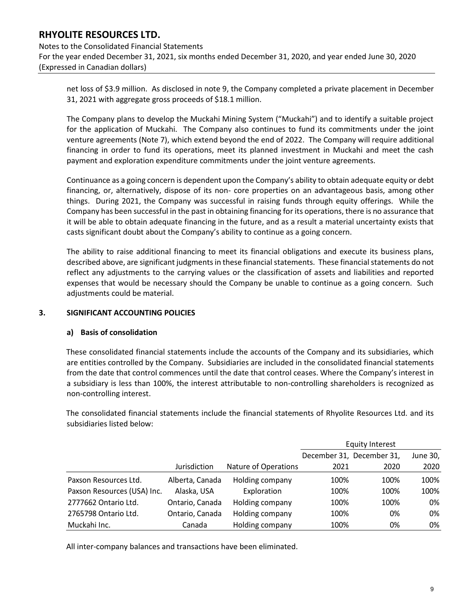Notes to the Consolidated Financial Statements For the year ended December 31, 2021, six months ended December 31, 2020, and year ended June 30, 2020 (Expressed in Canadian dollars)

net loss of \$3.9 million. As disclosed in note 9, the Company completed a private placement in December 31, 2021 with aggregate gross proceeds of \$18.1 million.

The Company plans to develop the Muckahi Mining System ("Muckahi") and to identify a suitable project for the application of Muckahi. The Company also continues to fund its commitments under the joint venture agreements (Note 7), which extend beyond the end of 2022. The Company will require additional financing in order to fund its operations, meet its planned investment in Muckahi and meet the cash payment and exploration expenditure commitments under the joint venture agreements.

Continuance as a going concern is dependent upon the Company's ability to obtain adequate equity or debt financing, or, alternatively, dispose of its non- core properties on an advantageous basis, among other things. During 2021, the Company was successful in raising funds through equity offerings. While the Company has been successful in the past in obtaining financing for its operations, there is no assurance that it will be able to obtain adequate financing in the future, and as a result a material uncertainty exists that casts significant doubt about the Company's ability to continue as a going concern.

The ability to raise additional financing to meet its financial obligations and execute its business plans, described above, are significant judgments in these financial statements. These financial statements do not reflect any adjustments to the carrying values or the classification of assets and liabilities and reported expenses that would be necessary should the Company be unable to continue as a going concern. Such adjustments could be material.

#### **3. SIGNIFICANT ACCOUNTING POLICIES**

#### **a) Basis of consolidation**

These consolidated financial statements include the accounts of the Company and its subsidiaries, which are entities controlled by the Company. Subsidiaries are included in the consolidated financial statements from the date that control commences until the date that control ceases. Where the Company's interest in a subsidiary is less than 100%, the interest attributable to non-controlling shareholders is recognized as non-controlling interest.

The consolidated financial statements include the financial statements of Rhyolite Resources Ltd. and its subsidiaries listed below:

|                             |                 |                      | <b>Equity Interest</b> |                           |          |  |  |
|-----------------------------|-----------------|----------------------|------------------------|---------------------------|----------|--|--|
|                             |                 |                      |                        | December 31, December 31, | June 30, |  |  |
|                             | Jurisdiction    | Nature of Operations | 2021                   | 2020                      | 2020     |  |  |
| Paxson Resources Ltd.       | Alberta, Canada | Holding company      | 100%                   | 100%                      | 100%     |  |  |
| Paxson Resources (USA) Inc. | Alaska, USA     | Exploration          | 100%                   | 100%                      | 100%     |  |  |
| 2777662 Ontario Ltd.        | Ontario, Canada | Holding company      | 100%                   | 100%                      | 0%       |  |  |
| 2765798 Ontario Ltd.        | Ontario, Canada | Holding company      | 100%                   | 0%                        | 0%       |  |  |
| Muckahi Inc.                | Canada          | Holding company      | 100%                   | 0%                        | 0%       |  |  |

All inter-company balances and transactions have been eliminated.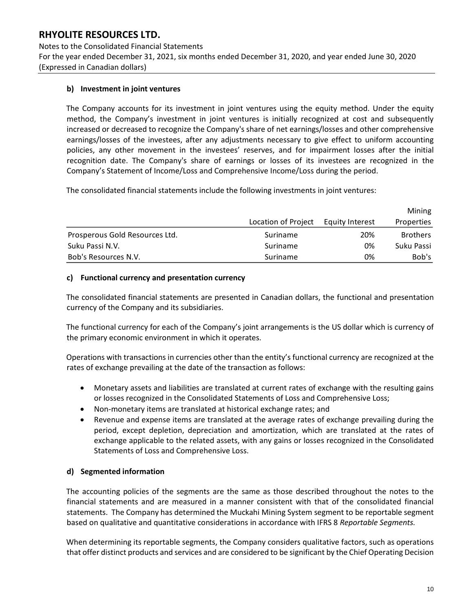Notes to the Consolidated Financial Statements For the year ended December 31, 2021, six months ended December 31, 2020, and year ended June 30, 2020 (Expressed in Canadian dollars)

### **b) Investment in joint ventures**

The Company accounts for its investment in joint ventures using the equity method. Under the equity method, the Company's investment in joint ventures is initially recognized at cost and subsequently increased or decreased to recognize the Company's share of net earnings/losses and other comprehensive earnings/losses of the investees, after any adjustments necessary to give effect to uniform accounting policies, any other movement in the investees' reserves, and for impairment losses after the initial recognition date. The Company's share of earnings or losses of its investees are recognized in the Company's Statement of Income/Loss and Comprehensive Income/Loss during the period.

The consolidated financial statements include the following investments in joint ventures:

|                                |                     |                 | Mining          |
|--------------------------------|---------------------|-----------------|-----------------|
|                                | Location of Project | Equity Interest | Properties      |
| Prosperous Gold Resources Ltd. | Suriname            | 20%             | <b>Brothers</b> |
| Suku Passi N.V.                | Suriname            | 0%              | Suku Passi      |
| Bob's Resources N.V.           | Suriname            | 0%              | Bob's           |

#### **c) Functional currency and presentation currency**

The consolidated financial statements are presented in Canadian dollars, the functional and presentation currency of the Company and its subsidiaries.

The functional currency for each of the Company's joint arrangements is the US dollar which is currency of the primary economic environment in which it operates.

Operations with transactions in currencies other than the entity's functional currency are recognized at the rates of exchange prevailing at the date of the transaction as follows:

- Monetary assets and liabilities are translated at current rates of exchange with the resulting gains or losses recognized in the Consolidated Statements of Loss and Comprehensive Loss;
- Non-monetary items are translated at historical exchange rates; and
- Revenue and expense items are translated at the average rates of exchange prevailing during the period, except depletion, depreciation and amortization, which are translated at the rates of exchange applicable to the related assets, with any gains or losses recognized in the Consolidated Statements of Loss and Comprehensive Loss.

#### **d) Segmented information**

The accounting policies of the segments are the same as those described throughout the notes to the financial statements and are measured in a manner consistent with that of the consolidated financial statements. The Company has determined the Muckahi Mining System segment to be reportable segment based on qualitative and quantitative considerations in accordance with IFRS 8 *Reportable Segments.* 

When determining its reportable segments, the Company considers qualitative factors, such as operations that offer distinct products and services and are considered to be significant by the Chief Operating Decision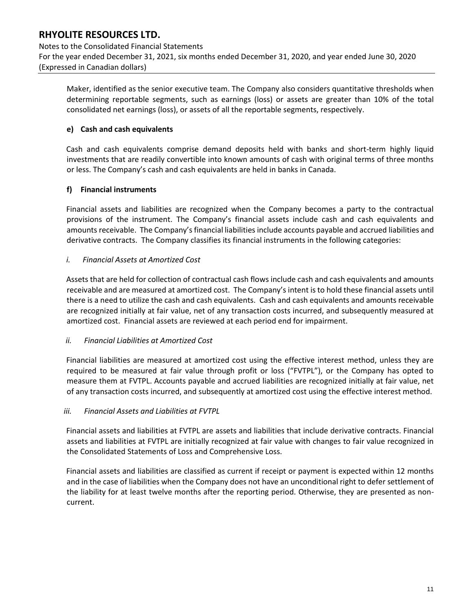Notes to the Consolidated Financial Statements For the year ended December 31, 2021, six months ended December 31, 2020, and year ended June 30, 2020 (Expressed in Canadian dollars)

Maker, identified as the senior executive team. The Company also considers quantitative thresholds when determining reportable segments, such as earnings (loss) or assets are greater than 10% of the total consolidated net earnings (loss), or assets of all the reportable segments, respectively.

### **e) Cash and cash equivalents**

Cash and cash equivalents comprise demand deposits held with banks and short-term highly liquid investments that are readily convertible into known amounts of cash with original terms of three months or less. The Company's cash and cash equivalents are held in banks in Canada.

### **f) Financial instruments**

Financial assets and liabilities are recognized when the Company becomes a party to the contractual provisions of the instrument. The Company's financial assets include cash and cash equivalents and amounts receivable. The Company's financial liabilities include accounts payable and accrued liabilities and derivative contracts. The Company classifies its financial instruments in the following categories:

### *i. Financial Assets at Amortized Cost*

Assets that are held for collection of contractual cash flows include cash and cash equivalents and amounts receivable and are measured at amortized cost. The Company's intent is to hold these financial assets until there is a need to utilize the cash and cash equivalents. Cash and cash equivalents and amounts receivable are recognized initially at fair value, net of any transaction costs incurred, and subsequently measured at amortized cost. Financial assets are reviewed at each period end for impairment.

#### *ii. Financial Liabilities at Amortized Cost*

Financial liabilities are measured at amortized cost using the effective interest method, unless they are required to be measured at fair value through profit or loss ("FVTPL"), or the Company has opted to measure them at FVTPL. Accounts payable and accrued liabilities are recognized initially at fair value, net of any transaction costs incurred, and subsequently at amortized cost using the effective interest method.

#### *iii. Financial Assets and Liabilities at FVTPL*

Financial assets and liabilities at FVTPL are assets and liabilities that include derivative contracts. Financial assets and liabilities at FVTPL are initially recognized at fair value with changes to fair value recognized in the Consolidated Statements of Loss and Comprehensive Loss.

Financial assets and liabilities are classified as current if receipt or payment is expected within 12 months and in the case of liabilities when the Company does not have an unconditional right to defer settlement of the liability for at least twelve months after the reporting period. Otherwise, they are presented as noncurrent.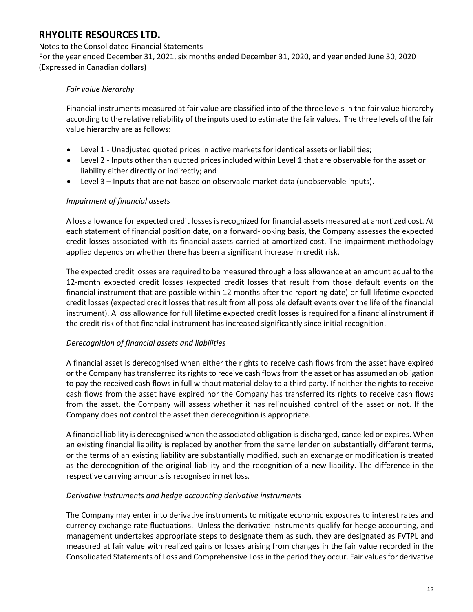#### Notes to the Consolidated Financial Statements

For the year ended December 31, 2021, six months ended December 31, 2020, and year ended June 30, 2020 (Expressed in Canadian dollars)

#### *Fair value hierarchy*

Financial instruments measured at fair value are classified into of the three levels in the fair value hierarchy according to the relative reliability of the inputs used to estimate the fair values. The three levels of the fair value hierarchy are as follows:

- Level 1 Unadjusted quoted prices in active markets for identical assets or liabilities;
- Level 2 Inputs other than quoted prices included within Level 1 that are observable for the asset or liability either directly or indirectly; and
- Level 3 Inputs that are not based on observable market data (unobservable inputs).

### *Impairment of financial assets*

A loss allowance for expected credit losses is recognized for financial assets measured at amortized cost. At each statement of financial position date, on a forward-looking basis, the Company assesses the expected credit losses associated with its financial assets carried at amortized cost. The impairment methodology applied depends on whether there has been a significant increase in credit risk.

The expected credit losses are required to be measured through a loss allowance at an amount equal to the 12-month expected credit losses (expected credit losses that result from those default events on the financial instrument that are possible within 12 months after the reporting date) or full lifetime expected credit losses (expected credit losses that result from all possible default events over the life of the financial instrument). A loss allowance for full lifetime expected credit losses is required for a financial instrument if the credit risk of that financial instrument has increased significantly since initial recognition.

## *Derecognition of financial assets and liabilities*

A financial asset is derecognised when either the rights to receive cash flows from the asset have expired or the Company has transferred its rights to receive cash flows from the asset or has assumed an obligation to pay the received cash flows in full without material delay to a third party. If neither the rights to receive cash flows from the asset have expired nor the Company has transferred its rights to receive cash flows from the asset, the Company will assess whether it has relinquished control of the asset or not. If the Company does not control the asset then derecognition is appropriate.

A financial liability is derecognised when the associated obligation is discharged, cancelled or expires. When an existing financial liability is replaced by another from the same lender on substantially different terms, or the terms of an existing liability are substantially modified, such an exchange or modification is treated as the derecognition of the original liability and the recognition of a new liability. The difference in the respective carrying amounts is recognised in net loss.

#### *Derivative instruments and hedge accounting derivative instruments*

The Company may enter into derivative instruments to mitigate economic exposures to interest rates and currency exchange rate fluctuations. Unless the derivative instruments qualify for hedge accounting, and management undertakes appropriate steps to designate them as such, they are designated as FVTPL and measured at fair value with realized gains or losses arising from changes in the fair value recorded in the Consolidated Statements of Loss and Comprehensive Loss in the period they occur. Fair values for derivative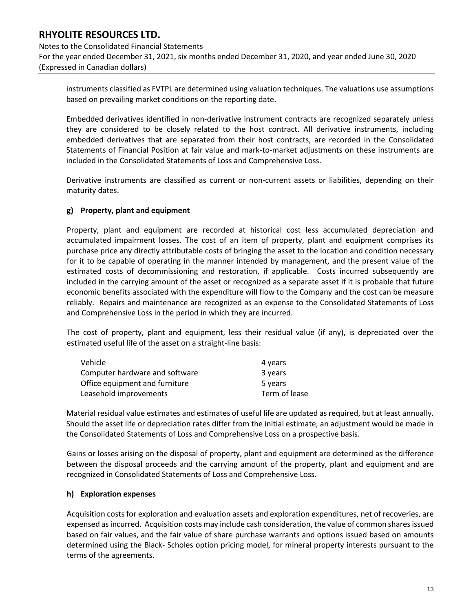Notes to the Consolidated Financial Statements For the year ended December 31, 2021, six months ended December 31, 2020, and year ended June 30, 2020 (Expressed in Canadian dollars)

instruments classified as FVTPL are determined using valuation techniques. The valuations use assumptions based on prevailing market conditions on the reporting date.

Embedded derivatives identified in non-derivative instrument contracts are recognized separately unless they are considered to be closely related to the host contract. All derivative instruments, including embedded derivatives that are separated from their host contracts, are recorded in the Consolidated Statements of Financial Position at fair value and mark-to-market adjustments on these instruments are included in the Consolidated Statements of Loss and Comprehensive Loss.

Derivative instruments are classified as current or non-current assets or liabilities, depending on their maturity dates.

### **g) Property, plant and equipment**

Property, plant and equipment are recorded at historical cost less accumulated depreciation and accumulated impairment losses. The cost of an item of property, plant and equipment comprises its purchase price any directly attributable costs of bringing the asset to the location and condition necessary for it to be capable of operating in the manner intended by management, and the present value of the estimated costs of decommissioning and restoration, if applicable. Costs incurred subsequently are included in the carrying amount of the asset or recognized as a separate asset if it is probable that future economic benefits associated with the expenditure will flow to the Company and the cost can be measure reliably. Repairs and maintenance are recognized as an expense to the Consolidated Statements of Loss and Comprehensive Loss in the period in which they are incurred.

The cost of property, plant and equipment, less their residual value (if any), is depreciated over the estimated useful life of the asset on a straight-line basis:

| Vehicle                        | 4 years       |
|--------------------------------|---------------|
| Computer hardware and software | 3 years       |
| Office equipment and furniture | 5 years       |
| Leasehold improvements         | Term of lease |

Material residual value estimates and estimates of useful life are updated as required, but at least annually. Should the asset life or depreciation rates differ from the initial estimate, an adjustment would be made in the Consolidated Statements of Loss and Comprehensive Loss on a prospective basis.

Gains or losses arising on the disposal of property, plant and equipment are determined as the difference between the disposal proceeds and the carrying amount of the property, plant and equipment and are recognized in Consolidated Statements of Loss and Comprehensive Loss.

#### **h) Exploration expenses**

Acquisition costs for exploration and evaluation assets and exploration expenditures, net of recoveries, are expensed as incurred. Acquisition costs may include cash consideration, the value of common shares issued based on fair values, and the fair value of share purchase warrants and options issued based on amounts determined using the Black- Scholes option pricing model, for mineral property interests pursuant to the terms of the agreements.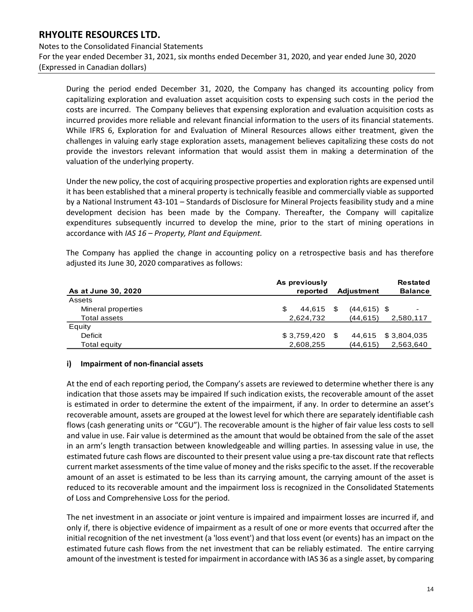Notes to the Consolidated Financial Statements For the year ended December 31, 2021, six months ended December 31, 2020, and year ended June 30, 2020 (Expressed in Canadian dollars)

During the period ended December 31, 2020, the Company has changed its accounting policy from capitalizing exploration and evaluation asset acquisition costs to expensing such costs in the period the costs are incurred. The Company believes that expensing exploration and evaluation acquisition costs as incurred provides more reliable and relevant financial information to the users of its financial statements. While IFRS 6, Exploration for and Evaluation of Mineral Resources allows either treatment, given the challenges in valuing early stage exploration assets, management believes capitalizing these costs do not provide the investors relevant information that would assist them in making a determination of the valuation of the underlying property.

Under the new policy, the cost of acquiring prospective properties and exploration rights are expensed until it has been established that a mineral property is technically feasible and commercially viable as supported by a National Instrument 43-101 – Standards of Disclosure for Mineral Projects feasibility study and a mine development decision has been made by the Company. Thereafter, the Company will capitalize expenditures subsequently incurred to develop the mine, prior to the start of mining operations in accordance with *IAS 16 – Property, Plant and Equipment.* 

The Company has applied the change in accounting policy on a retrospective basis and has therefore adjusted its June 30, 2020 comparatives as follows:

| As at June 30, 2020 | As previously<br>reported | <b>Adjustment</b> | <b>Restated</b><br><b>Balance</b> |
|---------------------|---------------------------|-------------------|-----------------------------------|
| Assets              |                           |                   |                                   |
| Mineral properties  | 44.615<br>S               | $(44, 615)$ \$    |                                   |
| Total assets        | 2,624,732                 | (44, 615)         | 2,580,117                         |
| Equity              |                           |                   |                                   |
| Deficit             | \$3,759,420               | 44.615            | \$3,804,035                       |
| Total equity        | 2,608,255                 | (44, 615)         | 2,563,640                         |

#### **i) Impairment of non-financial assets**

At the end of each reporting period, the Company's assets are reviewed to determine whether there is any indication that those assets may be impaired If such indication exists, the recoverable amount of the asset is estimated in order to determine the extent of the impairment, if any. In order to determine an asset's recoverable amount, assets are grouped at the lowest level for which there are separately identifiable cash flows (cash generating units or "CGU"). The recoverable amount is the higher of fair value less costs to sell and value in use. Fair value is determined as the amount that would be obtained from the sale of the asset in an arm's length transaction between knowledgeable and willing parties. In assessing value in use, the estimated future cash flows are discounted to their present value using a pre-tax discount rate that reflects current market assessments of the time value of money and the risks specific to the asset. If the recoverable amount of an asset is estimated to be less than its carrying amount, the carrying amount of the asset is reduced to its recoverable amount and the impairment loss is recognized in the Consolidated Statements of Loss and Comprehensive Loss for the period. **As ar June 30, 2020**<br> **As provided** Adjustment<br> **As ances**<br> **Mineral properties**<br> **S** 44,615 \$ (44,615) \$<br>
Deligities<br>
Deligities<br>
Deligities<br>
Deligities<br>
Deligities<br>
Deligities<br>
Deligities<br>
Deligities<br> **At the end of eac** 

The net investment in an associate or joint venture is impaired and impairment losses are incurred if, and only if, there is objective evidence of impairment as a result of one or more events that occurred after the initial recognition of the net investment (a 'loss event') and that loss event (or events) has an impact on the estimated future cash flows from the net investment that can be reliably estimated. The entire carrying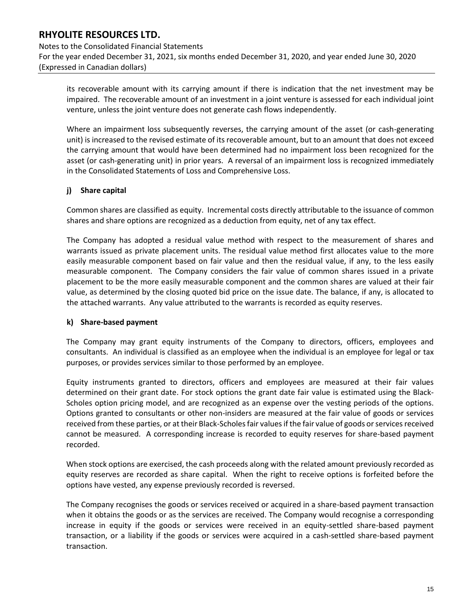Notes to the Consolidated Financial Statements For the year ended December 31, 2021, six months ended December 31, 2020, and year ended June 30, 2020 (Expressed in Canadian dollars)

its recoverable amount with its carrying amount if there is indication that the net investment may be impaired. The recoverable amount of an investment in a joint venture is assessed for each individual joint venture, unless the joint venture does not generate cash flows independently.

Where an impairment loss subsequently reverses, the carrying amount of the asset (or cash-generating unit) is increased to the revised estimate of its recoverable amount, but to an amount that does not exceed the carrying amount that would have been determined had no impairment loss been recognized for the asset (or cash-generating unit) in prior years. A reversal of an impairment loss is recognized immediately in the Consolidated Statements of Loss and Comprehensive Loss.

### **j) Share capital**

Common shares are classified as equity. Incremental costs directly attributable to the issuance of common shares and share options are recognized as a deduction from equity, net of any tax effect.

The Company has adopted a residual value method with respect to the measurement of shares and warrants issued as private placement units. The residual value method first allocates value to the more easily measurable component based on fair value and then the residual value, if any, to the less easily measurable component. The Company considers the fair value of common shares issued in a private placement to be the more easily measurable component and the common shares are valued at their fair value, as determined by the closing quoted bid price on the issue date. The balance, if any, is allocated to the attached warrants. Any value attributed to the warrants is recorded as equity reserves.

#### **k) Share-based payment**

The Company may grant equity instruments of the Company to directors, officers, employees and consultants. An individual is classified as an employee when the individual is an employee for legal or tax purposes, or provides services similar to those performed by an employee.

Equity instruments granted to directors, officers and employees are measured at their fair values determined on their grant date. For stock options the grant date fair value is estimated using the Black-Scholes option pricing model, and are recognized as an expense over the vesting periods of the options. Options granted to consultants or other non-insiders are measured at the fair value of goods or services received from these parties, or at their Black-Scholes fair values if the fair value of goods or services received cannot be measured. A corresponding increase is recorded to equity reserves for share-based payment recorded.

When stock options are exercised, the cash proceeds along with the related amount previously recorded as equity reserves are recorded as share capital. When the right to receive options is forfeited before the options have vested, any expense previously recorded is reversed.

The Company recognises the goods or services received or acquired in a share-based payment transaction when it obtains the goods or as the services are received. The Company would recognise a corresponding increase in equity if the goods or services were received in an equity-settled share-based payment transaction, or a liability if the goods or services were acquired in a cash-settled share-based payment transaction.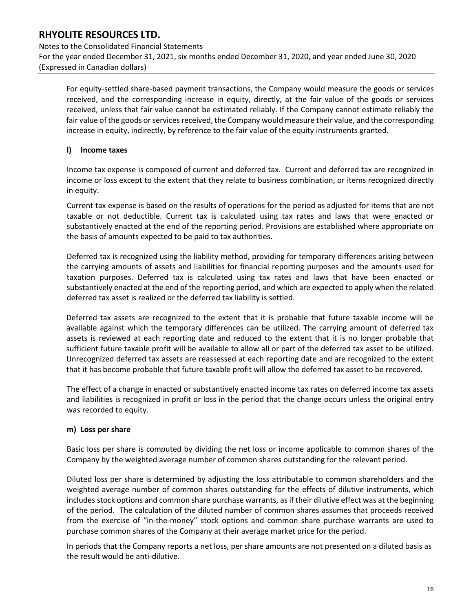Notes to the Consolidated Financial Statements For the year ended December 31, 2021, six months ended December 31, 2020, and year ended June 30, 2020 (Expressed in Canadian dollars)

For equity-settled share-based payment transactions, the Company would measure the goods or services received, and the corresponding increase in equity, directly, at the fair value of the goods or services received, unless that fair value cannot be estimated reliably. If the Company cannot estimate reliably the fair value of the goods or services received, the Company would measure their value, and the corresponding increase in equity, indirectly, by reference to the fair value of the equity instruments granted.

### **l) Income taxes**

Income tax expense is composed of current and deferred tax. Current and deferred tax are recognized in income or loss except to the extent that they relate to business combination, or items recognized directly in equity.

Current tax expense is based on the results of operations for the period as adjusted for items that are not taxable or not deductible. Current tax is calculated using tax rates and laws that were enacted or substantively enacted at the end of the reporting period. Provisions are established where appropriate on the basis of amounts expected to be paid to tax authorities.

Deferred tax is recognized using the liability method, providing for temporary differences arising between the carrying amounts of assets and liabilities for financial reporting purposes and the amounts used for taxation purposes. Deferred tax is calculated using tax rates and laws that have been enacted or substantively enacted at the end of the reporting period, and which are expected to apply when the related deferred tax asset is realized or the deferred tax liability is settled.

Deferred tax assets are recognized to the extent that it is probable that future taxable income will be available against which the temporary differences can be utilized. The carrying amount of deferred tax assets is reviewed at each reporting date and reduced to the extent that it is no longer probable that sufficient future taxable profit will be available to allow all or part of the deferred tax asset to be utilized. Unrecognized deferred tax assets are reassessed at each reporting date and are recognized to the extent that it has become probable that future taxable profit will allow the deferred tax asset to be recovered.

The effect of a change in enacted or substantively enacted income tax rates on deferred income tax assets and liabilities is recognized in profit or loss in the period that the change occurs unless the original entry was recorded to equity.

## **m) Loss per share**

Basic loss per share is computed by dividing the net loss or income applicable to common shares of the Company by the weighted average number of common shares outstanding for the relevant period.

Diluted loss per share is determined by adjusting the loss attributable to common shareholders and the weighted average number of common shares outstanding for the effects of dilutive instruments, which includes stock options and common share purchase warrants, as if their dilutive effect was at the beginning of the period. The calculation of the diluted number of common shares assumes that proceeds received from the exercise of "in-the-money" stock options and common share purchase warrants are used to purchase common shares of the Company at their average market price for the period.

In periods that the Company reports a net loss, per share amounts are not presented on a diluted basis as the result would be anti-dilutive.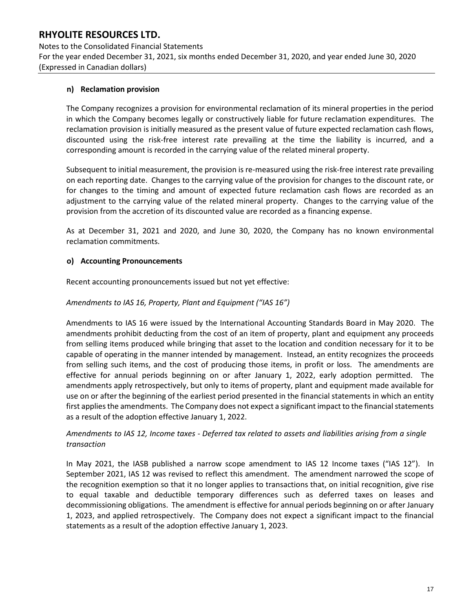Notes to the Consolidated Financial Statements For the year ended December 31, 2021, six months ended December 31, 2020, and year ended June 30, 2020 (Expressed in Canadian dollars)

#### **n) Reclamation provision**

The Company recognizes a provision for environmental reclamation of its mineral properties in the period in which the Company becomes legally or constructively liable for future reclamation expenditures. The reclamation provision is initially measured as the present value of future expected reclamation cash flows, discounted using the risk-free interest rate prevailing at the time the liability is incurred, and a corresponding amount is recorded in the carrying value of the related mineral property.

Subsequent to initial measurement, the provision is re-measured using the risk-free interest rate prevailing on each reporting date. Changes to the carrying value of the provision for changes to the discount rate, or for changes to the timing and amount of expected future reclamation cash flows are recorded as an adjustment to the carrying value of the related mineral property. Changes to the carrying value of the provision from the accretion of its discounted value are recorded as a financing expense.

As at December 31, 2021 and 2020, and June 30, 2020, the Company has no known environmental reclamation commitments.

### **o) Accounting Pronouncements**

Recent accounting pronouncements issued but not yet effective:

### *Amendments to IAS 16, Property, Plant and Equipment ("IAS 16")*

Amendments to IAS 16 were issued by the International Accounting Standards Board in May 2020. The amendments prohibit deducting from the cost of an item of property, plant and equipment any proceeds from selling items produced while bringing that asset to the location and condition necessary for it to be capable of operating in the manner intended by management. Instead, an entity recognizes the proceeds from selling such items, and the cost of producing those items, in profit or loss. The amendments are effective for annual periods beginning on or after January 1, 2022, early adoption permitted. The amendments apply retrospectively, but only to items of property, plant and equipment made available for use on or after the beginning of the earliest period presented in the financial statements in which an entity first applies the amendments. The Company does not expect a significant impact to the financial statements as a result of the adoption effective January 1, 2022.

## *Amendments to IAS 12, Income taxes - Deferred tax related to assets and liabilities arising from a single transaction*

In May 2021, the IASB published a narrow scope amendment to IAS 12 Income taxes ("IAS 12"). In September 2021, IAS 12 was revised to reflect this amendment. The amendment narrowed the scope of the recognition exemption so that it no longer applies to transactions that, on initial recognition, give rise to equal taxable and deductible temporary differences such as deferred taxes on leases and decommissioning obligations. The amendment is effective for annual periods beginning on or after January 1, 2023, and applied retrospectively. The Company does not expect a significant impact to the financial statements as a result of the adoption effective January 1, 2023.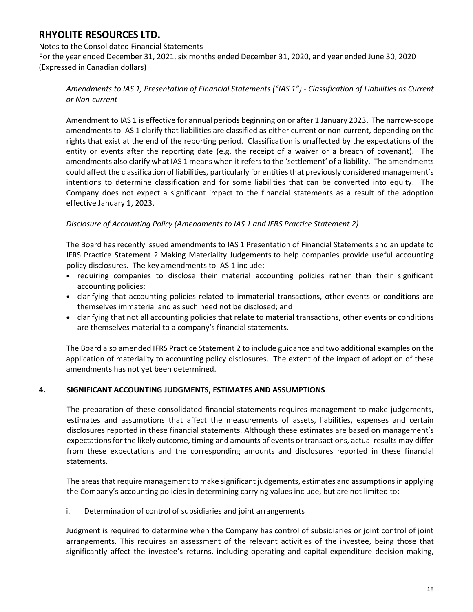Notes to the Consolidated Financial Statements For the year ended December 31, 2021, six months ended December 31, 2020, and year ended June 30, 2020 (Expressed in Canadian dollars)

*Amendments to IAS 1, Presentation of Financial Statements ("IAS 1") - Classification of Liabilities as Current or Non-current*

Amendment to IAS 1 is effective for annual periods beginning on or after 1 January 2023. The narrow-scope amendments to IAS 1 clarify that liabilities are classified as either current or non-current, depending on the rights that exist at the end of the reporting period. Classification is unaffected by the expectations of the entity or events after the reporting date (e.g. the receipt of a waiver or a breach of covenant). The amendments also clarify what IAS 1 means when it refers to the 'settlement' of a liability. The amendments could affect the classification of liabilities, particularly for entities that previously considered management's intentions to determine classification and for some liabilities that can be converted into equity. The Company does not expect a significant impact to the financial statements as a result of the adoption effective January 1, 2023.

#### *Disclosure of Accounting Policy (Amendments to IAS 1 and IFRS Practice Statement 2)*

The Board has recently issued amendments to IAS 1 Presentation of Financial Statements and an update to IFRS Practice Statement 2 Making Materiality Judgements to help companies provide useful accounting policy disclosures. The key amendments to IAS 1 include:

- requiring companies to disclose their material accounting policies rather than their significant accounting policies;
- clarifying that accounting policies related to immaterial transactions, other events or conditions are themselves immaterial and as such need not be disclosed; and
- clarifying that not all accounting policies that relate to material transactions, other events or conditions are themselves material to a company's financial statements.

The Board also amended IFRS Practice Statement 2 to include guidance and two additional examples on the application of materiality to accounting policy disclosures. The extent of the impact of adoption of these amendments has not yet been determined.

#### **4. SIGNIFICANT ACCOUNTING JUDGMENTS, ESTIMATES AND ASSUMPTIONS**

The preparation of these consolidated financial statements requires management to make judgements, estimates and assumptions that affect the measurements of assets, liabilities, expenses and certain disclosures reported in these financial statements. Although these estimates are based on management's expectations for the likely outcome, timing and amounts of events or transactions, actual results may differ from these expectations and the corresponding amounts and disclosures reported in these financial statements.

The areas that require management to make significant judgements, estimates and assumptions in applying the Company's accounting policies in determining carrying values include, but are not limited to:

i. Determination of control of subsidiaries and joint arrangements

Judgment is required to determine when the Company has control of subsidiaries or joint control of joint arrangements. This requires an assessment of the relevant activities of the investee, being those that significantly affect the investee's returns, including operating and capital expenditure decision-making,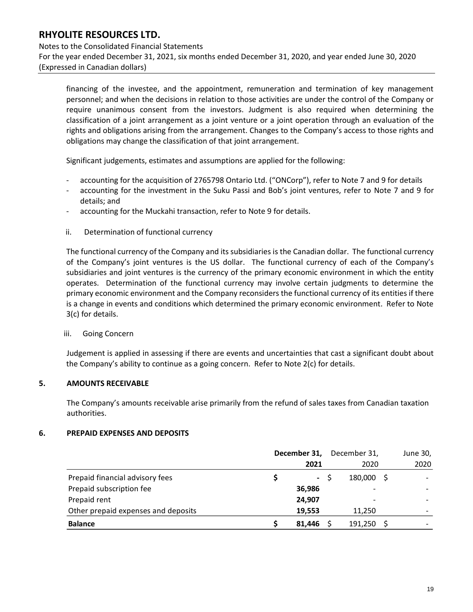Notes to the Consolidated Financial Statements For the year ended December 31, 2021, six months ended December 31, 2020, and year ended June 30, 2020 (Expressed in Canadian dollars)

financing of the investee, and the appointment, remuneration and termination of key management personnel; and when the decisions in relation to those activities are under the control of the Company or require unanimous consent from the investors. Judgment is also required when determining the classification of a joint arrangement as a joint venture or a joint operation through an evaluation of the rights and obligations arising from the arrangement. Changes to the Company's access to those rights and obligations may change the classification of that joint arrangement.

Significant judgements, estimates and assumptions are applied for the following:

- accounting for the acquisition of 2765798 Ontario Ltd. ("ONCorp"), refer to Note 7 and 9 for details
- accounting for the investment in the Suku Passi and Bob's joint ventures, refer to Note 7 and 9 for details; and
- accounting for the Muckahi transaction, refer to Note 9 for details.
- ii. Determination of functional currency

The functional currency of the Company and its subsidiaries is the Canadian dollar. The functional currency of the Company's joint ventures is the US dollar. The functional currency of each of the Company's subsidiaries and joint ventures is the currency of the primary economic environment in which the entity operates. Determination of the functional currency may involve certain judgments to determine the primary economic environment and the Company reconsiders the functional currency of its entities if there is a change in events and conditions which determined the primary economic environment. Refer to Note 3(c) for details.

#### iii. Going Concern

Judgement is applied in assessing if there are events and uncertainties that cast a significant doubt about the Company's ability to continue as a going concern. Refer to Note 2(c) for details.

#### **5. AMOUNTS RECEIVABLE**

The Company's amounts receivable arise primarily from the refund of sales taxes from Canadian taxation authorities.

#### **6. PREPAID EXPENSES AND DEPOSITS**

|                                     | December 31, | December 31, | June 30,                 |
|-------------------------------------|--------------|--------------|--------------------------|
|                                     | 2021         | 2020         | 2020                     |
| Prepaid financial advisory fees     | $\sim$       | 180,000 \$   |                          |
| Prepaid subscription fee            | 36,986       | -            |                          |
| Prepaid rent                        | 24.907       | -            | $\overline{\phantom{0}}$ |
| Other prepaid expenses and deposits | 19,553       | 11.250       | $\overline{\phantom{0}}$ |
| <b>Balance</b>                      | 81.446       | 191.250      | -                        |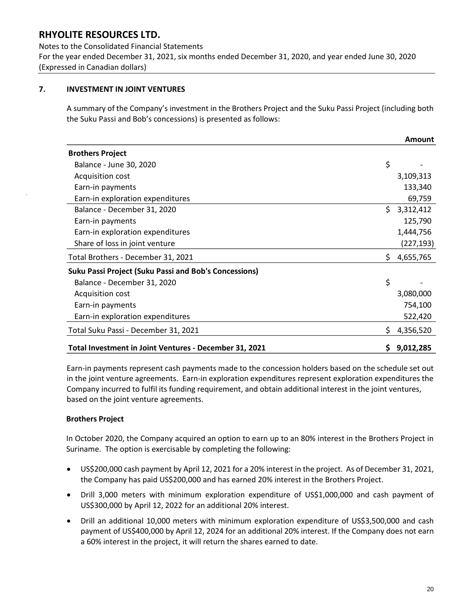Notes to the Consolidated Financial Statements For the year ended December 31, 2021, six months ended December 31, 2020, and year ended June 30, 2020 (Expressed in Canadian dollars)

## **7. INVESTMENT IN JOINT VENTURES**

A summary of the Company's investment in the Brothers Project and the Suku Passi Project (including both the Suku Passi and Bob's concessions) is presented as follows:

|                                                              |    | <b>Amount</b> |
|--------------------------------------------------------------|----|---------------|
| <b>Brothers Project</b>                                      |    |               |
| Balance - June 30, 2020                                      | \$ |               |
| Acquisition cost                                             |    | 3,109,313     |
| Earn-in payments                                             |    | 133,340       |
| Earn-in exploration expenditures                             |    | 69,759        |
| Balance - December 31, 2020                                  | Ś. | 3,312,412     |
| Earn-in payments                                             |    | 125,790       |
| Earn-in exploration expenditures                             |    | 1,444,756     |
| Share of loss in joint venture                               |    | (227,193)     |
| Total Brothers - December 31, 2021                           | \$ | 4,655,765     |
| <b>Suku Passi Project (Suku Passi and Bob's Concessions)</b> |    |               |
| Balance - December 31, 2020                                  | \$ |               |
| Acquisition cost                                             |    | 3,080,000     |
| Earn-in payments                                             |    | 754,100       |
| Earn-in exploration expenditures                             |    | 522,420       |
| Total Suku Passi - December 31, 2021                         | Ś. | 4,356,520     |
| Total Investment in Joint Ventures - December 31, 2021       | \$ | 9,012,285     |

Earn-in payments represent cash payments made to the concession holders based on the schedule set out in the joint venture agreements. Earn-in exploration expenditures represent exploration expenditures the Company incurred to fulfil its funding requirement, and obtain additional interest in the joint ventures, based on the joint venture agreements.

## **Brothers Project**

In October 2020, the Company acquired an option to earn up to an 80% interest in the Brothers Project in Suriname. The option is exercisable by completing the following:

- US\$200,000 cash payment by April 12, 2021 for a 20% interest in the project. As of December 31, 2021, the Company has paid US\$200,000 and has earned 20% interest in the Brothers Project.
- Drill 3,000 meters with minimum exploration expenditure of US\$1,000,000 and cash payment of US\$300,000 by April 12, 2022 for an additional 20% interest.
- Drill an additional 10,000 meters with minimum exploration expenditure of US\$3,500,000 and cash payment of US\$400,000 by April 12, 2024 for an additional 20% interest. If the Company does not earn a 60% interest in the project, it will return the shares earned to date.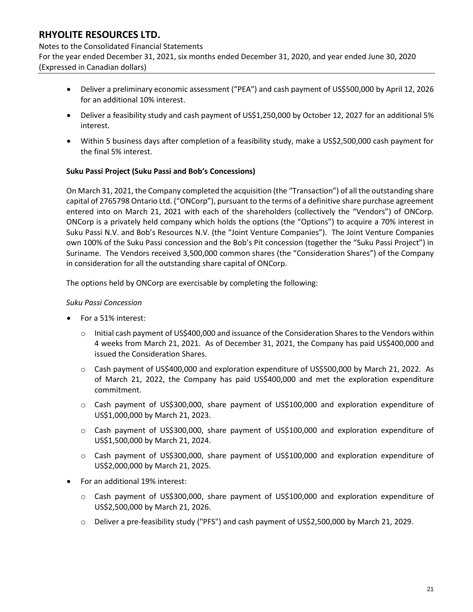#### Notes to the Consolidated Financial Statements

For the year ended December 31, 2021, six months ended December 31, 2020, and year ended June 30, 2020 (Expressed in Canadian dollars)

- Deliver a preliminary economic assessment ("PEA") and cash payment of US\$500,000 by April 12, 2026 for an additional 10% interest.
- Deliver a feasibility study and cash payment of US\$1,250,000 by October 12, 2027 for an additional 5% interest.
- Within 5 business days after completion of a feasibility study, make a US\$2,500,000 cash payment for the final 5% interest.

### **Suku Passi Project (Suku Passi and Bob's Concessions)**

On March 31, 2021, the Company completed the acquisition (the "Transaction") of all the outstanding share capital of 2765798 Ontario Ltd. ("ONCorp"), pursuant to the terms of a definitive share purchase agreement entered into on March 21, 2021 with each of the shareholders (collectively the "Vendors") of ONCorp. ONCorp is a privately held company which holds the options (the "Options") to acquire a 70% interest in Suku Passi N.V. and Bob's Resources N.V. (the "Joint Venture Companies"). The Joint Venture Companies own 100% of the Suku Passi concession and the Bob's Pit concession (together the "Suku Passi Project") in Suriname. The Vendors received 3,500,000 common shares (the "Consideration Shares") of the Company in consideration for all the outstanding share capital of ONCorp.

The options held by ONCorp are exercisable by completing the following:

### *Suku Passi Concession*

- For a 51% interest:
	- $\circ$  Initial cash payment of US\$400,000 and issuance of the Consideration Shares to the Vendors within 4 weeks from March 21, 2021. As of December 31, 2021, the Company has paid US\$400,000 and issued the Consideration Shares.
	- $\circ$  Cash payment of US\$400,000 and exploration expenditure of US\$500,000 by March 21, 2022. As of March 21, 2022, the Company has paid US\$400,000 and met the exploration expenditure commitment.
	- $\circ$  Cash payment of US\$300,000, share payment of US\$100,000 and exploration expenditure of US\$1,000,000 by March 21, 2023.
	- $\circ$  Cash payment of US\$300,000, share payment of US\$100,000 and exploration expenditure of US\$1,500,000 by March 21, 2024.
	- $\circ$  Cash payment of US\$300,000, share payment of US\$100,000 and exploration expenditure of US\$2,000,000 by March 21, 2025.
- For an additional 19% interest:
	- o Cash payment of US\$300,000, share payment of US\$100,000 and exploration expenditure of US\$2,500,000 by March 21, 2026.
	- o Deliver a pre-feasibility study ("PFS") and cash payment of US\$2,500,000 by March 21, 2029.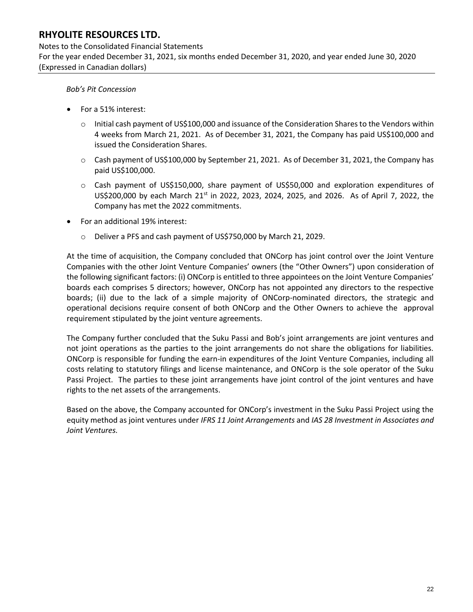Notes to the Consolidated Financial Statements For the year ended December 31, 2021, six months ended December 31, 2020, and year ended June 30, 2020 (Expressed in Canadian dollars)

*Bob's Pit Concession*

- For a 51% interest:
	- $\circ$  Initial cash payment of US\$100,000 and issuance of the Consideration Shares to the Vendors within 4 weeks from March 21, 2021. As of December 31, 2021, the Company has paid US\$100,000 and issued the Consideration Shares.
	- o Cash payment of US\$100,000 by September 21, 2021. As of December 31, 2021, the Company has paid US\$100,000.
	- o Cash payment of US\$150,000, share payment of US\$50,000 and exploration expenditures of US\$200,000 by each March 21<sup>st</sup> in 2022, 2023, 2024, 2025, and 2026. As of April 7, 2022, the Company has met the 2022 commitments.
- For an additional 19% interest:
	- o Deliver a PFS and cash payment of US\$750,000 by March 21, 2029.

At the time of acquisition, the Company concluded that ONCorp has joint control over the Joint Venture Companies with the other Joint Venture Companies' owners (the "Other Owners") upon consideration of the following significant factors: (i) ONCorp is entitled to three appointees on the Joint Venture Companies' boards each comprises 5 directors; however, ONCorp has not appointed any directors to the respective boards; (ii) due to the lack of a simple majority of ONCorp-nominated directors, the strategic and operational decisions require consent of both ONCorp and the Other Owners to achieve the approval requirement stipulated by the joint venture agreements.

The Company further concluded that the Suku Passi and Bob's joint arrangements are joint ventures and not joint operations as the parties to the joint arrangements do not share the obligations for liabilities. ONCorp is responsible for funding the earn-in expenditures of the Joint Venture Companies, including all costs relating to statutory filings and license maintenance, and ONCorp is the sole operator of the Suku Passi Project. The parties to these joint arrangements have joint control of the joint ventures and have rights to the net assets of the arrangements.

Based on the above, the Company accounted for ONCorp's investment in the Suku Passi Project using the equity method as joint ventures under *IFRS 11 Joint Arrangements* and *IAS 28 Investment in Associates and Joint Ventures.*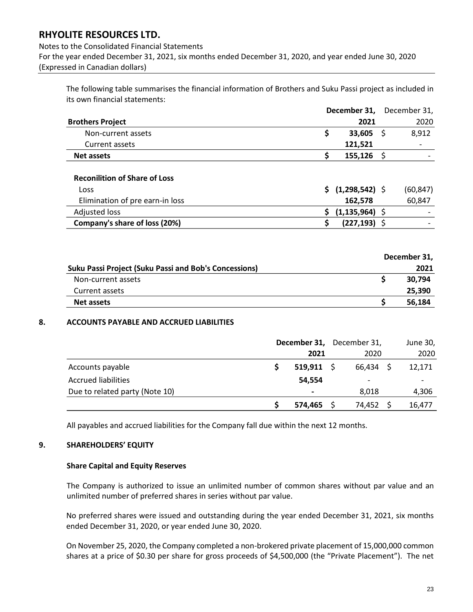### Notes to the Consolidated Financial Statements For the year ended December 31, 2021, six months ended December 31, 2020, and year ended June 30, 2020 (Expressed in Canadian dollars)

The following table summarises the financial information of Brothers and Suku Passi project as included in its own financial statements:

|                                                                                                                                                                                                                 |                      |     | December 31,         | December 31,     |
|-----------------------------------------------------------------------------------------------------------------------------------------------------------------------------------------------------------------|----------------------|-----|----------------------|------------------|
| <b>Brothers Project</b>                                                                                                                                                                                         |                      |     | 2021                 | 2020             |
| Non-current assets                                                                                                                                                                                              |                      | \$  | 33,605               | \$<br>8,912      |
| Current assets                                                                                                                                                                                                  |                      |     | 121,521              |                  |
| <b>Net assets</b>                                                                                                                                                                                               |                      | \$  | 155,126              | \$               |
| <b>Reconilition of Share of Loss</b>                                                                                                                                                                            |                      |     |                      |                  |
| Loss                                                                                                                                                                                                            |                      | S.  | $(1,298,542)$ \$     | (60, 847)        |
| Elimination of pre earn-in loss                                                                                                                                                                                 |                      |     | 162,578              | 60,847           |
| <b>Adjusted loss</b>                                                                                                                                                                                            |                      | \$. | $(1, 135, 964)$ \$   |                  |
| Company's share of loss (20%)                                                                                                                                                                                   |                      | \$  | $(227, 193)$ \$      |                  |
|                                                                                                                                                                                                                 |                      |     |                      | December 31,     |
| <b>Suku Passi Project (Suku Passi and Bob's Concessions)</b>                                                                                                                                                    |                      |     |                      | 2021             |
| Non-current assets                                                                                                                                                                                              |                      |     |                      | \$<br>30,794     |
| Current assets                                                                                                                                                                                                  |                      |     |                      | 25,390           |
| <b>Net assets</b>                                                                                                                                                                                               |                      |     |                      | \$<br>56,184     |
|                                                                                                                                                                                                                 | December 31,<br>2021 |     | December 31,<br>2020 | June 30,<br>2020 |
| Accounts payable                                                                                                                                                                                                | \$<br>$519,911$ \$   |     | $66,434$ \$          | 12,171           |
| <b>Accrued liabilities</b>                                                                                                                                                                                      | 54,554               |     |                      |                  |
| Due to related party (Note 10)                                                                                                                                                                                  |                      |     | 8,018                | 4,306            |
|                                                                                                                                                                                                                 | \$<br>574,465        |     | \$<br>74,452         | \$<br>16,477     |
| All payables and accrued liabilities for the Company fall due within the next 12 months.                                                                                                                        |                      |     |                      |                  |
| <b>SHAREHOLDERS' EQUITY</b>                                                                                                                                                                                     |                      |     |                      |                  |
| <b>Share Capital and Equity Reserves</b>                                                                                                                                                                        |                      |     |                      |                  |
| The Company is authorized to issue an unlimited number of common shares without par value and an<br>unlimited number of preferred shares in series without par value.                                           |                      |     |                      |                  |
| No preferred shares were issued and outstanding during the year ended December 31, 2021, six months<br>ended December 31, 2020, or year ended June 30, 2020.                                                    |                      |     |                      |                  |
| On November 25, 2020, the Company completed a non-brokered private placement of 15,000,000 common<br>shares at a price of \$0.30 per share for gross proceeds of \$4,500,000 (the "Private Placement"). The net |                      |     |                      |                  |

|                                                              | December 31, |
|--------------------------------------------------------------|--------------|
| <b>Suku Passi Project (Suku Passi and Bob's Concessions)</b> | 2021         |
| Non-current assets                                           | 30.794       |
| Current assets                                               | 25,390       |
| <b>Net assets</b>                                            | 56,184       |
|                                                              |              |

#### **8. ACCOUNTS PAYABLE AND ACCRUED LIABILITIES**

|                                | December 31, December 31, |              |           | June 30, |        |  |
|--------------------------------|---------------------------|--------------|-----------|----------|--------|--|
|                                |                           | 2021         | 2020      |          | 2020   |  |
| Accounts payable               |                           | $519,911$ \$ | 66,434 \$ |          | 12,171 |  |
| <b>Accrued liabilities</b>     |                           | 54.554       | -         |          |        |  |
| Due to related party (Note 10) |                           | -            | 8,018     |          | 4,306  |  |
|                                |                           | 574,465      | 74,452    |          | 16,477 |  |

#### **9. SHAREHOLDERS' EQUITY**

#### **Share Capital and Equity Reserves**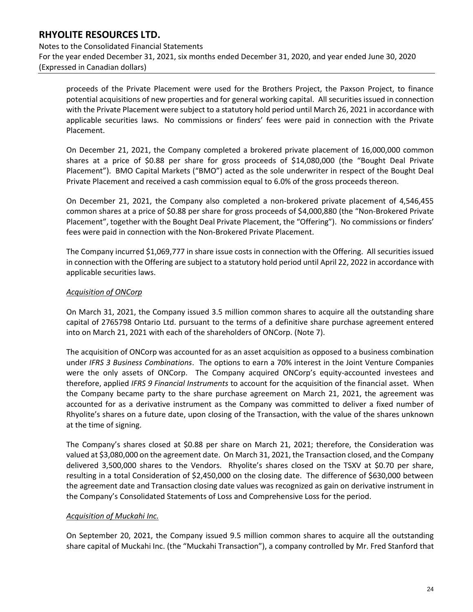Notes to the Consolidated Financial Statements For the year ended December 31, 2021, six months ended December 31, 2020, and year ended June 30, 2020 (Expressed in Canadian dollars)

proceeds of the Private Placement were used for the Brothers Project, the Paxson Project, to finance potential acquisitions of new properties and for general working capital. All securities issued in connection with the Private Placement were subject to a statutory hold period until March 26, 2021 in accordance with applicable securities laws. No commissions or finders' fees were paid in connection with the Private Placement.

On December 21, 2021, the Company completed a brokered private placement of 16,000,000 common shares at a price of \$0.88 per share for gross proceeds of \$14,080,000 (the "Bought Deal Private Placement"). BMO Capital Markets ("BMO") acted as the sole underwriter in respect of the Bought Deal Private Placement and received a cash commission equal to 6.0% of the gross proceeds thereon.

On December 21, 2021, the Company also completed a non-brokered private placement of 4,546,455 common shares at a price of \$0.88 per share for gross proceeds of \$4,000,880 (the "Non-Brokered Private Placement", together with the Bought Deal Private Placement, the "Offering"). No commissions or finders' fees were paid in connection with the Non-Brokered Private Placement.

The Company incurred \$1,069,777 in share issue costs in connection with the Offering. All securities issued in connection with the Offering are subject to a statutory hold period until April 22, 2022 in accordance with applicable securities laws.

### *Acquisition of ONCorp*

On March 31, 2021, the Company issued 3.5 million common shares to acquire all the outstanding share capital of 2765798 Ontario Ltd. pursuant to the terms of a definitive share purchase agreement entered into on March 21, 2021 with each of the shareholders of ONCorp. (Note 7).

The acquisition of ONCorp was accounted for as an asset acquisition as opposed to a business combination under *IFRS 3 Business Combinations*. The options to earn a 70% interest in the Joint Venture Companies were the only assets of ONCorp. The Company acquired ONCorp's equity-accounted investees and therefore, applied *IFRS 9 Financial Instruments* to account for the acquisition of the financial asset. When the Company became party to the share purchase agreement on March 21, 2021, the agreement was accounted for as a derivative instrument as the Company was committed to deliver a fixed number of Rhyolite's shares on a future date, upon closing of the Transaction, with the value of the shares unknown at the time of signing.

The Company's shares closed at \$0.88 per share on March 21, 2021; therefore, the Consideration was valued at \$3,080,000 on the agreement date. On March 31, 2021, the Transaction closed, and the Company delivered 3,500,000 shares to the Vendors. Rhyolite's shares closed on the TSXV at \$0.70 per share, resulting in a total Consideration of \$2,450,000 on the closing date. The difference of \$630,000 between the agreement date and Transaction closing date values was recognized as gain on derivative instrument in the Company's Consolidated Statements of Loss and Comprehensive Loss for the period.

## *Acquisition of Muckahi Inc.*

On September 20, 2021, the Company issued 9.5 million common shares to acquire all the outstanding share capital of Muckahi Inc. (the "Muckahi Transaction"), a company controlled by Mr. Fred Stanford that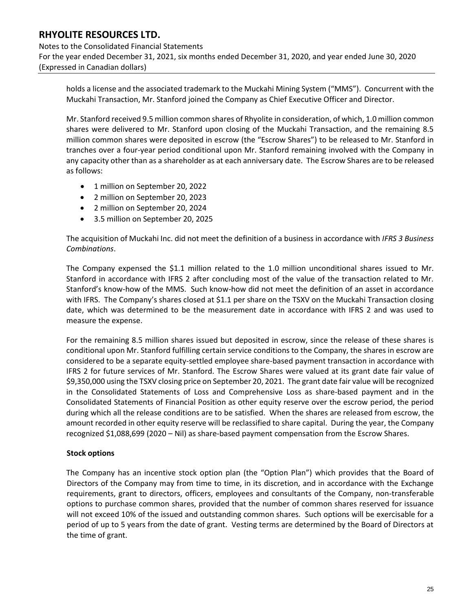Notes to the Consolidated Financial Statements For the year ended December 31, 2021, six months ended December 31, 2020, and year ended June 30, 2020 (Expressed in Canadian dollars)

holds a license and the associated trademark to the Muckahi Mining System ("MMS"). Concurrent with the Muckahi Transaction, Mr. Stanford joined the Company as Chief Executive Officer and Director.

Mr. Stanford received 9.5 million common shares of Rhyolite in consideration, of which, 1.0 million common shares were delivered to Mr. Stanford upon closing of the Muckahi Transaction, and the remaining 8.5 million common shares were deposited in escrow (the "Escrow Shares") to be released to Mr. Stanford in tranches over a four-year period conditional upon Mr. Stanford remaining involved with the Company in any capacity other than as a shareholder as at each anniversary date. The Escrow Shares are to be released as follows:

- 1 million on September 20, 2022
- 2 million on September 20, 2023
- 2 million on September 20, 2024
- 3.5 million on September 20, 2025

The acquisition of Muckahi Inc. did not meet the definition of a business in accordance with *IFRS 3 Business Combinations*.

The Company expensed the \$1.1 million related to the 1.0 million unconditional shares issued to Mr. Stanford in accordance with IFRS 2 after concluding most of the value of the transaction related to Mr. Stanford's know-how of the MMS. Such know-how did not meet the definition of an asset in accordance with IFRS. The Company's shares closed at \$1.1 per share on the TSXV on the Muckahi Transaction closing date, which was determined to be the measurement date in accordance with IFRS 2 and was used to measure the expense.

For the remaining 8.5 million shares issued but deposited in escrow, since the release of these shares is conditional upon Mr. Stanford fulfilling certain service conditions to the Company, the shares in escrow are considered to be a separate equity-settled employee share-based payment transaction in accordance with IFRS 2 for future services of Mr. Stanford. The Escrow Shares were valued at its grant date fair value of \$9,350,000 using the TSXV closing price on September 20, 2021. The grant date fair value will be recognized in the Consolidated Statements of Loss and Comprehensive Loss as share-based payment and in the Consolidated Statements of Financial Position as other equity reserve over the escrow period, the period during which all the release conditions are to be satisfied. When the shares are released from escrow, the amount recorded in other equity reserve will be reclassified to share capital. During the year, the Company recognized \$1,088,699 (2020 – Nil) as share-based payment compensation from the Escrow Shares.

#### **Stock options**

The Company has an incentive stock option plan (the "Option Plan") which provides that the Board of Directors of the Company may from time to time, in its discretion, and in accordance with the Exchange requirements, grant to directors, officers, employees and consultants of the Company, non-transferable options to purchase common shares, provided that the number of common shares reserved for issuance will not exceed 10% of the issued and outstanding common shares. Such options will be exercisable for a period of up to 5 years from the date of grant. Vesting terms are determined by the Board of Directors at the time of grant.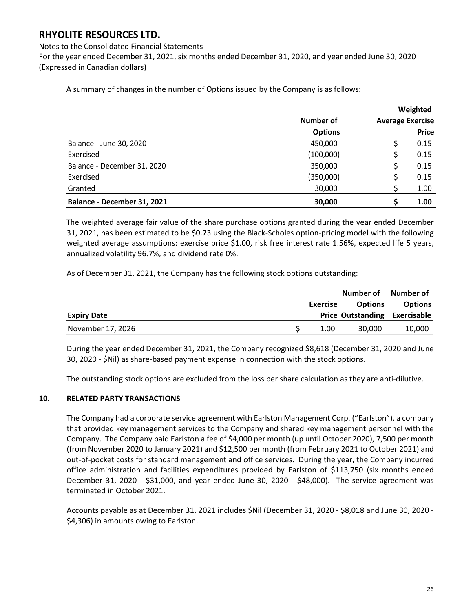Notes to the Consolidated Financial Statements For the year ended December 31, 2021, six months ended December 31, 2020, and year ended June 30, 2020 (Expressed in Canadian dollars)

A summary of changes in the number of Options issued by the Company is as follows:

|                             |                |                         | Weighted     |
|-----------------------------|----------------|-------------------------|--------------|
|                             | Number of      | <b>Average Exercise</b> |              |
|                             | <b>Options</b> |                         | <b>Price</b> |
| Balance - June 30, 2020     | 450,000        |                         | 0.15         |
| Exercised                   | (100,000)      |                         | 0.15         |
| Balance - December 31, 2020 | 350,000        |                         | 0.15         |
| Exercised                   | (350,000)      |                         | 0.15         |
| Granted                     | 30,000         |                         | 1.00         |
| Balance - December 31, 2021 | 30,000         | S                       | 1.00         |

The weighted average fair value of the share purchase options granted during the year ended December 31, 2021, has been estimated to be \$0.73 using the Black-Scholes option-pricing model with the following weighted average assumptions: exercise price \$1.00, risk free interest rate 1.56%, expected life 5 years, annualized volatility 96.7%, and dividend rate 0%.

As of December 31, 2021, the Company has the following stock options outstanding:

|                    |          | Number of Number of                  |                |
|--------------------|----------|--------------------------------------|----------------|
|                    | Exercise | <b>Options</b>                       | <b>Options</b> |
| <b>Expiry Date</b> |          | <b>Price Outstanding Exercisable</b> |                |
| November 17, 2026  | 1.00     | 30,000                               | 10,000         |

During the year ended December 31, 2021, the Company recognized \$8,618 (December 31, 2020 and June 30, 2020 - \$Nil) as share-based payment expense in connection with the stock options.

The outstanding stock options are excluded from the loss per share calculation as they are anti-dilutive.

#### **10. RELATED PARTY TRANSACTIONS**

The Company had a corporate service agreement with Earlston Management Corp. ("Earlston"), a company that provided key management services to the Company and shared key management personnel with the Company. The Company paid Earlston a fee of \$4,000 per month (up until October 2020), 7,500 per month (from November 2020 to January 2021) and \$12,500 per month (from February 2021 to October 2021) and out-of-pocket costs for standard management and office services. During the year, the Company incurred office administration and facilities expenditures provided by Earlston of \$113,750 (six months ended December 31, 2020 - \$31,000, and year ended June 30, 2020 - \$48,000). The service agreement was terminated in October 2021.

Accounts payable as at December 31, 2021 includes \$Nil (December 31, 2020 - \$8,018 and June 30, 2020 - \$4,306) in amounts owing to Earlston.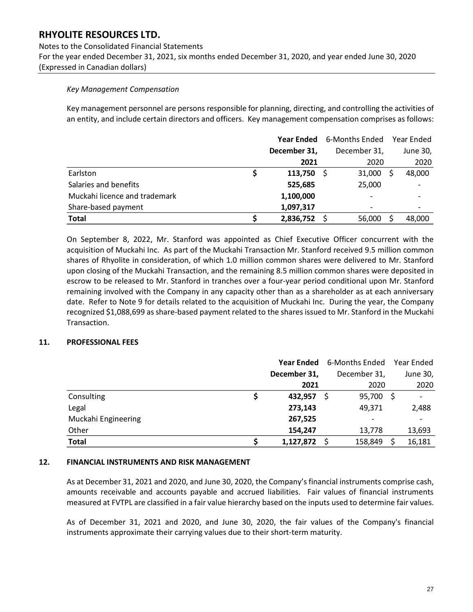Notes to the Consolidated Financial Statements For the year ended December 31, 2021, six months ended December 31, 2020, and year ended June 30, 2020 (Expressed in Canadian dollars)

#### *Key Management Compensation*

Key management personnel are persons responsible for planning, directing, and controlling the activities of an entity, and include certain directors and officers. Key management compensation comprises as follows:

|                               |              | <b>Year Ended</b> 6-Months Ended | Year Ended |
|-------------------------------|--------------|----------------------------------|------------|
|                               | December 31, | December 31,                     | June 30,   |
|                               | 2021         | 2020                             | 2020       |
| Earlston<br>Ş                 | 113,750      | 31,000                           | 48,000     |
| Salaries and benefits         | 525,685      | 25,000                           |            |
| Muckahi licence and trademark | 1,100,000    |                                  |            |
| Share-based payment           | 1,097,317    |                                  |            |
| <b>Total</b>                  | 2,836,752    | 56,000                           | 48,000     |

On September 8, 2022, Mr. Stanford was appointed as Chief Executive Officer concurrent with the acquisition of Muckahi Inc. As part of the Muckahi Transaction Mr. Stanford received 9.5 million common shares of Rhyolite in consideration, of which 1.0 million common shares were delivered to Mr. Stanford upon closing of the Muckahi Transaction, and the remaining 8.5 million common shares were deposited in escrow to be released to Mr. Stanford in tranches over a four-year period conditional upon Mr. Stanford remaining involved with the Company in any capacity other than as a shareholder as at each anniversary date. Refer to Note 9 for details related to the acquisition of Muckahi Inc. During the year, the Company recognized \$1,088,699 as share-based payment related to the shares issued to Mr. Stanford in the Muckahi Transaction.

#### **11. PROFESSIONAL FEES**

|                     | <b>Year Ended</b> | 6-Months Ended |      | Year Ended |
|---------------------|-------------------|----------------|------|------------|
|                     | December 31,      | December 31,   |      | June 30,   |
|                     | 2021              | 2020           |      | 2020       |
| Consulting          | 432,957           | 95,700<br>S    | - \$ |            |
| Legal               | 273,143           | 49.371         |      | 2,488      |
| Muckahi Engineering | 267,525           | -              |      |            |
| Other               | 154,247           | 13,778         |      | 13,693     |
| <b>Total</b>        | 1,127,872         | 158,849        |      | 16,181     |

#### **12. FINANCIAL INSTRUMENTS AND RISK MANAGEMENT**

As at December 31, 2021 and 2020, and June 30, 2020, the Company's financial instruments comprise cash, amounts receivable and accounts payable and accrued liabilities. Fair values of financial instruments measured at FVTPL are classified in a fair value hierarchy based on the inputs used to determine fair values.

As of December 31, 2021 and 2020, and June 30, 2020, the fair values of the Company's financial instruments approximate their carrying values due to their short-term maturity.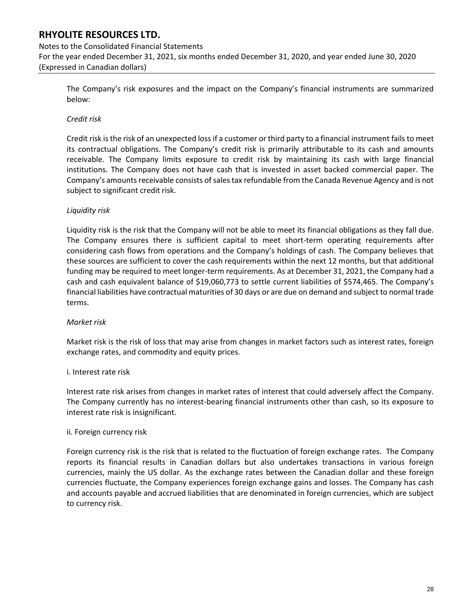## Notes to the Consolidated Financial Statements For the year ended December 31, 2021, six months ended December 31, 2020, and year ended June 30, 2020 (Expressed in Canadian dollars)

The Company's risk exposures and the impact on the Company's financial instruments are summarized below:

#### *Credit risk*

Credit risk is the risk of an unexpected loss if a customer or third party to a financial instrument fails to meet its contractual obligations. The Company's credit risk is primarily attributable to its cash and amounts receivable. The Company limits exposure to credit risk by maintaining its cash with large financial institutions. The Company does not have cash that is invested in asset backed commercial paper. The Company's amounts receivable consists of sales tax refundable from the Canada Revenue Agency and is not subject to significant credit risk.

#### *Liquidity risk*

Liquidity risk is the risk that the Company will not be able to meet its financial obligations as they fall due. The Company ensures there is sufficient capital to meet short-term operating requirements after considering cash flows from operations and the Company's holdings of cash. The Company believes that these sources are sufficient to cover the cash requirements within the next 12 months, but that additional funding may be required to meet longer-term requirements. As at December 31, 2021, the Company had a cash and cash equivalent balance of \$19,060,773 to settle current liabilities of \$574,465. The Company's financial liabilities have contractual maturities of 30 days or are due on demand and subject to normal trade terms.

#### *Market risk*

Market risk is the risk of loss that may arise from changes in market factors such as interest rates, foreign exchange rates, and commodity and equity prices.

#### i. Interest rate risk

Interest rate risk arises from changes in market rates of interest that could adversely affect the Company. The Company currently has no interest-bearing financial instruments other than cash, so its exposure to interest rate risk is insignificant.

#### ii. Foreign currency risk

Foreign currency risk is the risk that is related to the fluctuation of foreign exchange rates. The Company reports its financial results in Canadian dollars but also undertakes transactions in various foreign currencies, mainly the US dollar. As the exchange rates between the Canadian dollar and these foreign currencies fluctuate, the Company experiences foreign exchange gains and losses. The Company has cash and accounts payable and accrued liabilities that are denominated in foreign currencies, which are subject to currency risk.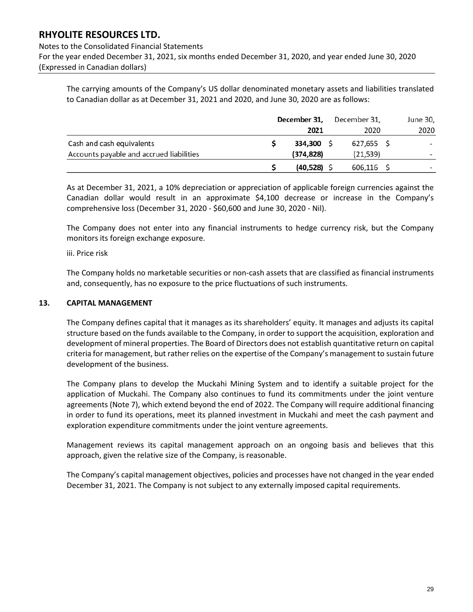#### Notes to the Consolidated Financial Statements

For the year ended December 31, 2021, six months ended December 31, 2020, and year ended June 30, 2020 (Expressed in Canadian dollars)

The carrying amounts of the Company's US dollar denominated monetary assets and liabilities translated to Canadian dollar as at December 31, 2021 and 2020, and June 30, 2020 are as follows:

|                                          | December 31, |            |  | December 31, | June 30,                 |
|------------------------------------------|--------------|------------|--|--------------|--------------------------|
|                                          |              | 2021       |  | 2020         | 2020                     |
| Cash and cash equivalents                |              | 334.300    |  | 627,655 S    | $\overline{\phantom{a}}$ |
| Accounts payable and accrued liabilities |              | (374, 828) |  | (21, 539)    |                          |
|                                          |              | (40,528)   |  | $606,116$ \$ |                          |

As at December 31, 2021, a 10% depreciation or appreciation of applicable foreign currencies against the Canadian dollar would result in an approximate \$4,100 decrease or increase in the Company's comprehensive loss (December 31, 2020 - \$60,600 and June 30, 2020 - Nil).

The Company does not enter into any financial instruments to hedge currency risk, but the Company monitors its foreign exchange exposure.

#### iii. Price risk

The Company holds no marketable securities or non-cash assets that are classified as financial instruments and, consequently, has no exposure to the price fluctuations of such instruments.

#### **13. CAPITAL MANAGEMENT**

The Company defines capital that it manages as its shareholders' equity. It manages and adjusts its capital structure based on the funds available to the Company, in order to support the acquisition, exploration and development of mineral properties. The Board of Directors does not establish quantitative return on capital criteria for management, but rather relies on the expertise of the Company's management to sustain future development of the business.

The Company plans to develop the Muckahi Mining System and to identify a suitable project for the application of Muckahi. The Company also continues to fund its commitments under the joint venture agreements (Note 7), which extend beyond the end of 2022. The Company will require additional financing in order to fund its operations, meet its planned investment in Muckahi and meet the cash payment and exploration expenditure commitments under the joint venture agreements.

Management reviews its capital management approach on an ongoing basis and believes that this approach, given the relative size of the Company, is reasonable.

The Company's capital management objectives, policies and processes have not changed in the year ended December 31, 2021. The Company is not subject to any externally imposed capital requirements.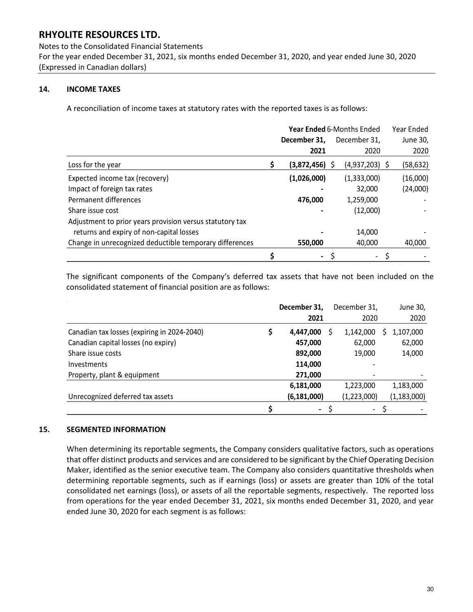Notes to the Consolidated Financial Statements For the year ended December 31, 2021, six months ended December 31, 2020, and year ended June 30, 2020 (Expressed in Canadian dollars)

### **14. INCOME TAXES**

A reconciliation of income taxes at statutory rates with the reported taxes is as follows:

|                                                          | Year Ended 6-Months Ended | Year Ended       |           |  |
|----------------------------------------------------------|---------------------------|------------------|-----------|--|
|                                                          | December 31,              | December 31.     | June 30,  |  |
|                                                          | 2021                      | 2020             | 2020      |  |
| Loss for the year                                        | \$<br>$(3,872,456)$ \$    | $(4,937,203)$ \$ | (58, 632) |  |
| Expected income tax (recovery)                           | (1,026,000)               | (1,333,000)      | (16,000)  |  |
| Impact of foreign tax rates                              |                           | 32,000           | (24,000)  |  |
| Permanent differences                                    | 476,000                   | 1,259,000        |           |  |
| Share issue cost                                         |                           | (12,000)         |           |  |
| Adjustment to prior years provision versus statutory tax |                           |                  |           |  |
| returns and expiry of non-capital losses                 |                           | 14,000           |           |  |
| Change in unrecognized deductible temporary differences  | 550,000                   | 40,000           | 40,000    |  |
|                                                          | $\blacksquare$            | ۰.               |           |  |

The significant components of the Company's deferred tax assets that have not been included on the consolidated statement of financial position are as follows:

|                                             | December 31,             | December 31, | June 30,      |
|---------------------------------------------|--------------------------|--------------|---------------|
|                                             | 2021                     | 2020         | 2020          |
| Canadian tax losses (expiring in 2024-2040) | 4,447,000                | 1,142,000    | 1,107,000     |
| Canadian capital losses (no expiry)         | 457,000                  | 62,000       | 62,000        |
| Share issue costs                           | 892,000                  | 19,000       | 14,000        |
| <b>Investments</b>                          | 114,000                  |              |               |
| Property, plant & equipment                 | 271,000                  |              |               |
|                                             | 6,181,000                | 1,223,000    | 1,183,000     |
| Unrecognized deferred tax assets            | (6, 181, 000)            | (1,223,000)  | (1, 183, 000) |
|                                             | $\overline{\phantom{a}}$ | $\sim$       |               |

#### **15. SEGMENTED INFORMATION**

When determining its reportable segments, the Company considers qualitative factors, such as operations that offer distinct products and services and are considered to be significant by the Chief Operating Decision Maker, identified as the senior executive team. The Company also considers quantitative thresholds when determining reportable segments, such as if earnings (loss) or assets are greater than 10% of the total consolidated net earnings (loss), or assets of all the reportable segments, respectively. The reported loss from operations for the year ended December 31, 2021, six months ended December 31, 2020, and year ended June 30, 2020 for each segment is as follows: